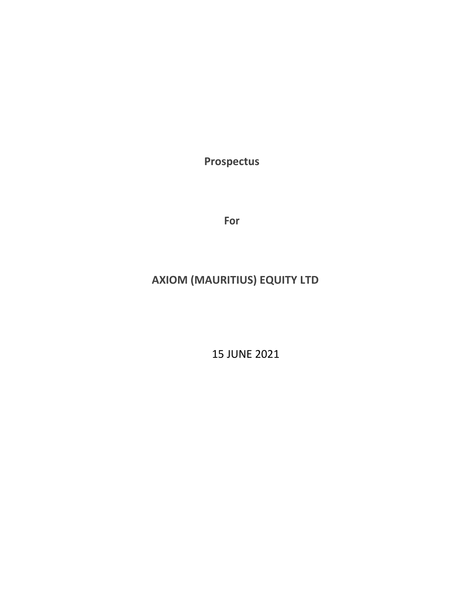**Prospectus**

**For**

# **AXIOM (MAURITIUS) EQUITY LTD**

15 JUNE 2021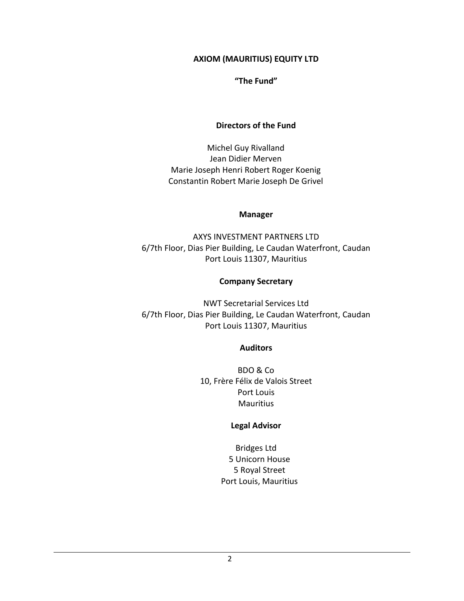#### **AXIOM (MAURITIUS) EQUITY LTD**

#### **"The Fund"**

#### **Directors of the Fund**

Michel Guy Rivalland Jean Didier Merven Marie Joseph Henri Robert Roger Koenig Constantin Robert Marie Joseph De Grivel

#### **Manager**

AXYS INVESTMENT PARTNERS LTD 6/7th Floor, Dias Pier Building, Le Caudan Waterfront, Caudan Port Louis 11307, Mauritius

#### **Company Secretary**

NWT Secretarial Services Ltd 6/7th Floor, Dias Pier Building, Le Caudan Waterfront, Caudan Port Louis 11307, Mauritius

#### **Auditors**

BDO & Co 10, Frère Félix de Valois Street Port Louis **Mauritius** 

#### **Legal Advisor**

Bridges Ltd 5 Unicorn House 5 Royal Street Port Louis, Mauritius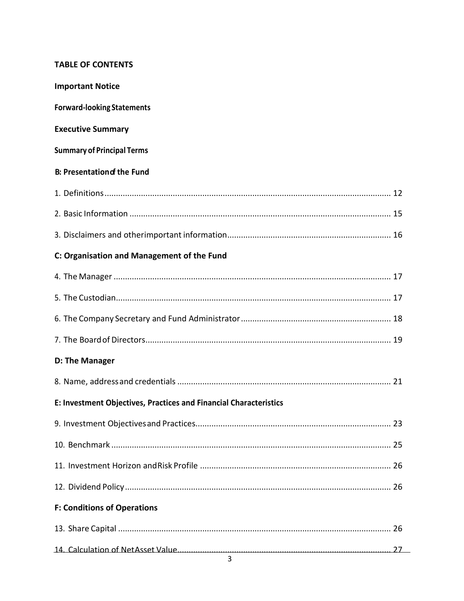### **TABLE OF CONTENTS**

| <b>Important Notice</b>                                           |
|-------------------------------------------------------------------|
| <b>Forward-looking Statements</b>                                 |
| <b>Executive Summary</b>                                          |
| <b>Summary of Principal Terms</b>                                 |
| <b>B: Presentation of the Fund</b>                                |
|                                                                   |
|                                                                   |
|                                                                   |
| C: Organisation and Management of the Fund                        |
|                                                                   |
|                                                                   |
|                                                                   |
|                                                                   |
| D: The Manager                                                    |
|                                                                   |
| E: Investment Objectives, Practices and Financial Characteristics |
|                                                                   |
|                                                                   |
|                                                                   |
|                                                                   |
| <b>F: Conditions of Operations</b>                                |
|                                                                   |
|                                                                   |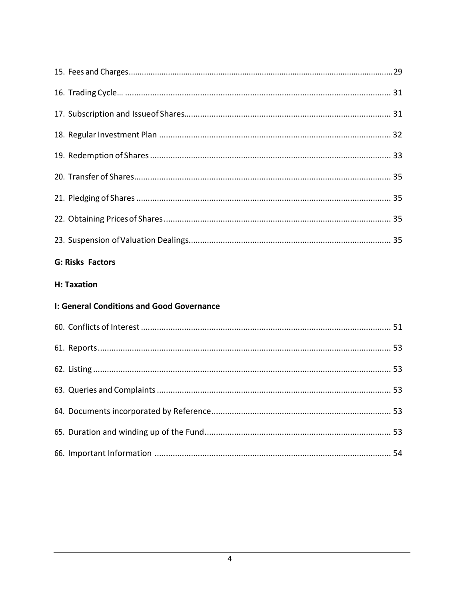| <b>G: Risks Factors</b>                   |  |
|-------------------------------------------|--|
| H: Taxation                               |  |
| I: General Conditions and Good Governance |  |
|                                           |  |
|                                           |  |
|                                           |  |
|                                           |  |
|                                           |  |
|                                           |  |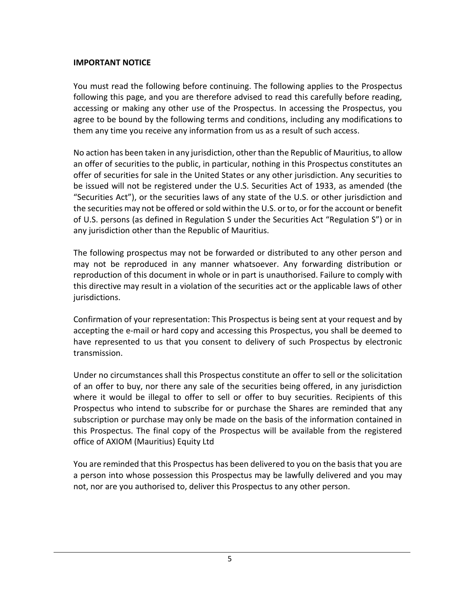### **IMPORTANT NOTICE**

You must read the following before continuing. The following applies to the Prospectus following this page, and you are therefore advised to read this carefully before reading, accessing or making any other use of the Prospectus. In accessing the Prospectus, you agree to be bound by the following terms and conditions, including any modifications to them any time you receive any information from us as a result of such access.

No action has been taken in any jurisdiction, other than the Republic of Mauritius, to allow an offer of securities to the public, in particular, nothing in this Prospectus constitutes an offer of securities for sale in the United States or any other jurisdiction. Any securities to be issued will not be registered under the U.S. Securities Act of 1933, as amended (the "Securities Act"), or the securities laws of any state of the U.S. or other jurisdiction and the securities may not be offered or sold within the U.S. or to, or for the account or benefit of U.S. persons (as defined in Regulation S under the Securities Act "Regulation S") or in any jurisdiction other than the Republic of Mauritius.

The following prospectus may not be forwarded or distributed to any other person and may not be reproduced in any manner whatsoever. Any forwarding distribution or reproduction of this document in whole or in part is unauthorised. Failure to comply with this directive may result in a violation of the securities act or the applicable laws of other jurisdictions.

Confirmation of your representation: This Prospectus is being sent at your request and by accepting the e-mail or hard copy and accessing this Prospectus, you shall be deemed to have represented to us that you consent to delivery of such Prospectus by electronic transmission.

Under no circumstances shall this Prospectus constitute an offer to sell or the solicitation of an offer to buy, nor there any sale of the securities being offered, in any jurisdiction where it would be illegal to offer to sell or offer to buy securities. Recipients of this Prospectus who intend to subscribe for or purchase the Shares are reminded that any subscription or purchase may only be made on the basis of the information contained in this Prospectus. The final copy of the Prospectus will be available from the registered office of AXIOM (Mauritius) Equity Ltd

You are reminded that this Prospectus has been delivered to you on the basis that you are a person into whose possession this Prospectus may be lawfully delivered and you may not, nor are you authorised to, deliver this Prospectus to any other person.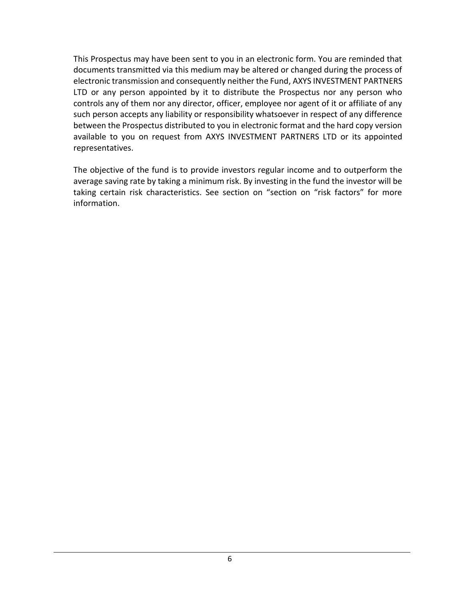This Prospectus may have been sent to you in an electronic form. You are reminded that documents transmitted via this medium may be altered or changed during the process of electronic transmission and consequently neither the Fund, AXYS INVESTMENT PARTNERS LTD or any person appointed by it to distribute the Prospectus nor any person who controls any of them nor any director, officer, employee nor agent of it or affiliate of any such person accepts any liability or responsibility whatsoever in respect of any difference between the Prospectus distributed to you in electronic format and the hard copy version available to you on request from AXYS INVESTMENT PARTNERS LTD or its appointed representatives.

The objective of the fund is to provide investors regular income and to outperform the average saving rate by taking a minimum risk. By investing in the fund the investor will be taking certain risk characteristics. See section on "section on "risk factors" for more information.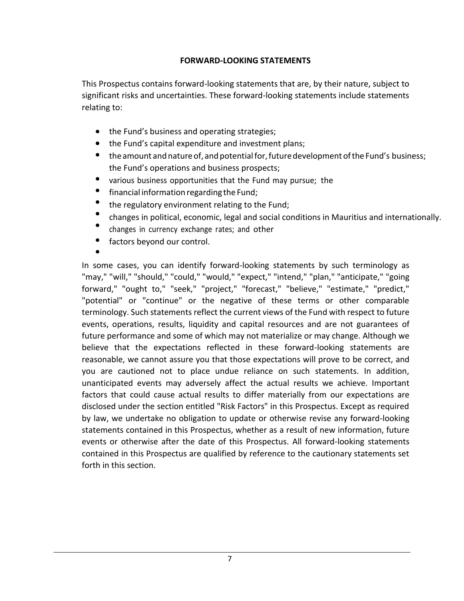### **FORWARD-LOOKING STATEMENTS**

This Prospectus contains forward-looking statements that are, by their nature, subject to significant risks and uncertainties. These forward-looking statements include statements relating to:

- the Fund's business and operating strategies;
- the Fund's capital expenditure and investment plans;
- $\bullet$ the amount and nature of, and potential for, future development of the Fund's business; the Fund's operations and business prospects;
- various business opportunities that the Fund may pursue; the
- financial information regarding the Fund;
- the regulatory environment relating to the Fund;
- changes in political, economic, legal and social conditions in Mauritius and internationally.
- changes in currency exchange rates; and other
- $\bullet$ factors beyond our control.

In some cases, you can identify forward-looking statements by such terminology as "may," "will," "should," "could," "would," "expect," "intend," "plan," "anticipate," "going forward," "ought to," "seek," "project," "forecast," "believe," "estimate," "predict," "potential" or "continue" or the negative of these terms or other comparable terminology. Such statements reflect the current views of the Fund with respect to future events, operations, results, liquidity and capital resources and are not guarantees of future performance and some of which may not materialize or may change. Although we believe that the expectations reflected in these forward-looking statements are reasonable, we cannot assure you that those expectations will prove to be correct, and you are cautioned not to place undue reliance on such statements. In addition, unanticipated events may adversely affect the actual results we achieve. Important factors that could cause actual results to differ materially from our expectations are disclosed under the section entitled "Risk Factors" in this Prospectus. Except as required by law, we undertake no obligation to update or otherwise revise any forward-looking statements contained in this Prospectus, whether as a result of new information, future events or otherwise after the date of this Prospectus. All forward-looking statements contained in this Prospectus are qualified by reference to the cautionary statements set forth in this section.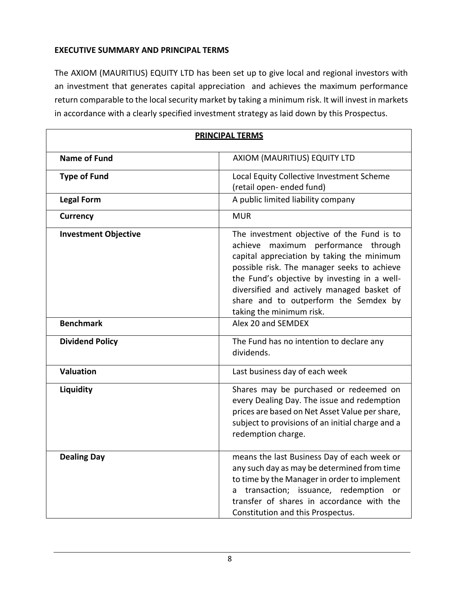### **EXECUTIVE SUMMARY AND PRINCIPAL TERMS**

The AXIOM (MAURITIUS) EQUITY LTD has been set up to give local and regional investors with an investment that generates capital appreciation and achieves the maximum performance return comparable to the local security market by taking a minimum risk. It will invest in markets in accordance with a clearly specified investment strategy as laid down by this Prospectus.

| <b>PRINCIPAL TERMS</b>      |                                                                                                                                                                                                                                                                                                                                                      |  |
|-----------------------------|------------------------------------------------------------------------------------------------------------------------------------------------------------------------------------------------------------------------------------------------------------------------------------------------------------------------------------------------------|--|
| <b>Name of Fund</b>         | AXIOM (MAURITIUS) EQUITY LTD                                                                                                                                                                                                                                                                                                                         |  |
| <b>Type of Fund</b>         | Local Equity Collective Investment Scheme<br>(retail open- ended fund)                                                                                                                                                                                                                                                                               |  |
| <b>Legal Form</b>           | A public limited liability company                                                                                                                                                                                                                                                                                                                   |  |
| <b>Currency</b>             | <b>MUR</b>                                                                                                                                                                                                                                                                                                                                           |  |
| <b>Investment Objective</b> | The investment objective of the Fund is to<br>maximum performance through<br>achieve<br>capital appreciation by taking the minimum<br>possible risk. The manager seeks to achieve<br>the Fund's objective by investing in a well-<br>diversified and actively managed basket of<br>share and to outperform the Semdex by<br>taking the minimum risk. |  |
| <b>Benchmark</b>            | Alex 20 and SEMDEX                                                                                                                                                                                                                                                                                                                                   |  |
| <b>Dividend Policy</b>      | The Fund has no intention to declare any<br>dividends.                                                                                                                                                                                                                                                                                               |  |
| <b>Valuation</b>            | Last business day of each week                                                                                                                                                                                                                                                                                                                       |  |
| Liquidity                   | Shares may be purchased or redeemed on<br>every Dealing Day. The issue and redemption<br>prices are based on Net Asset Value per share,<br>subject to provisions of an initial charge and a<br>redemption charge.                                                                                                                                    |  |
| <b>Dealing Day</b>          | means the last Business Day of each week or<br>any such day as may be determined from time<br>to time by the Manager in order to implement<br>transaction; issuance, redemption<br><b>or</b><br>a<br>transfer of shares in accordance with the<br>Constitution and this Prospectus.                                                                  |  |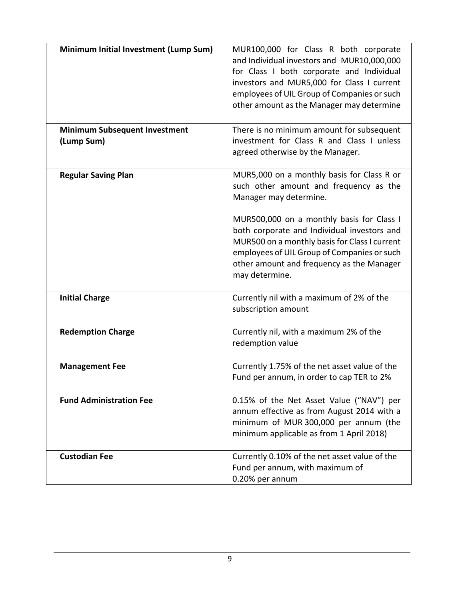| Minimum Initial Investment (Lump Sum)              | MUR100,000 for Class R both corporate<br>and Individual investors and MUR10,000,000<br>for Class I both corporate and Individual<br>investors and MUR5,000 for Class I current<br>employees of UIL Group of Companies or such<br>other amount as the Manager may determine |
|----------------------------------------------------|----------------------------------------------------------------------------------------------------------------------------------------------------------------------------------------------------------------------------------------------------------------------------|
| <b>Minimum Subsequent Investment</b><br>(Lump Sum) | There is no minimum amount for subsequent<br>investment for Class R and Class I unless<br>agreed otherwise by the Manager.                                                                                                                                                 |
| <b>Regular Saving Plan</b>                         | MUR5,000 on a monthly basis for Class R or<br>such other amount and frequency as the<br>Manager may determine.                                                                                                                                                             |
|                                                    | MUR500,000 on a monthly basis for Class I<br>both corporate and Individual investors and<br>MUR500 on a monthly basis for Class I current<br>employees of UIL Group of Companies or such<br>other amount and frequency as the Manager<br>may determine.                    |
| <b>Initial Charge</b>                              | Currently nil with a maximum of 2% of the<br>subscription amount                                                                                                                                                                                                           |
| <b>Redemption Charge</b>                           | Currently nil, with a maximum 2% of the<br>redemption value                                                                                                                                                                                                                |
| <b>Management Fee</b>                              | Currently 1.75% of the net asset value of the<br>Fund per annum, in order to cap TER to 2%                                                                                                                                                                                 |
| <b>Fund Administration Fee</b>                     | 0.15% of the Net Asset Value ("NAV") per<br>annum effective as from August 2014 with a<br>minimum of MUR 300,000 per annum (the<br>minimum applicable as from 1 April 2018)                                                                                                |
| <b>Custodian Fee</b>                               | Currently 0.10% of the net asset value of the<br>Fund per annum, with maximum of<br>0.20% per annum                                                                                                                                                                        |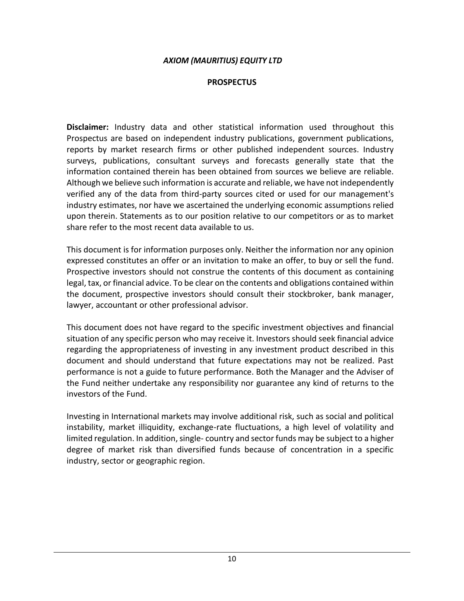#### *AXIOM (MAURITIUS) EQUITY LTD*

#### **PROSPECTUS**

**Disclaimer:** Industry data and other statistical information used throughout this Prospectus are based on independent industry publications, government publications, reports by market research firms or other published independent sources. Industry surveys, publications, consultant surveys and forecasts generally state that the information contained therein has been obtained from sources we believe are reliable. Although we believe such information is accurate and reliable, we have not independently verified any of the data from third-party sources cited or used for our management's industry estimates, nor have we ascertained the underlying economic assumptions relied upon therein. Statements as to our position relative to our competitors or as to market share refer to the most recent data available to us.

This document is for information purposes only. Neither the information nor any opinion expressed constitutes an offer or an invitation to make an offer, to buy or sell the fund. Prospective investors should not construe the contents of this document as containing legal, tax, or financial advice. To be clear on the contents and obligations contained within the document, prospective investors should consult their stockbroker, bank manager, lawyer, accountant or other professional advisor.

This document does not have regard to the specific investment objectives and financial situation of any specific person who may receive it. Investors should seek financial advice regarding the appropriateness of investing in any investment product described in this document and should understand that future expectations may not be realized. Past performance is not a guide to future performance. Both the Manager and the Adviser of the Fund neither undertake any responsibility nor guarantee any kind of returns to the investors of the Fund.

Investing in International markets may involve additional risk, such as social and political instability, market illiquidity, exchange-rate fluctuations, a high level of volatility and limited regulation. In addition, single- country and sector funds may be subject to a higher degree of market risk than diversified funds because of concentration in a specific industry, sector or geographic region.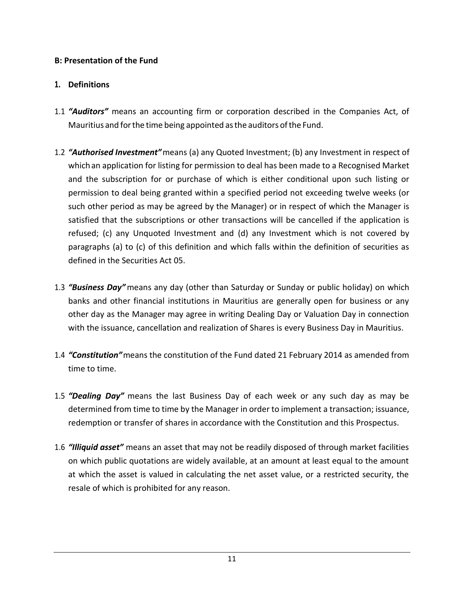### **B: Presentation of the Fund**

### <span id="page-10-0"></span>**1. Definitions**

- 1.1 *"Auditors"* means an accounting firm or corporation described in the Companies Act, of Mauritius and forthe time being appointed asthe auditors ofthe Fund.
- 1.2 *"Authorised Investment"*means (a) any Quoted Investment; (b) any Investment in respect of whichan application for listing for permission to deal has been made to a Recognised Market and the subscription for or purchase of which is either conditional upon such listing or permission to deal being granted within a specified period not exceeding twelve weeks (or such other period as may be agreed by the Manager) or in respect of which the Manager is satisfied that the subscriptions or other transactions will be cancelled if the application is refused; (c) any Unquoted Investment and (d) any Investment which is not covered by paragraphs (a) to (c) of this definition and which falls within the definition of securities as defined in the Securities Act 05.
- 1.3 *"Business Day"*means any day (other than Saturday or Sunday or public holiday) on which banks and other financial institutions in Mauritius are generally open for business or any other day as the Manager may agree in writing Dealing Day or Valuation Day in connection with the issuance, cancellation and realization of Shares is every Business Day in Mauritius.
- 1.4 *"Constitution"*means the constitution of the Fund dated 21 February 2014 as amended from time to time.
- 1.5 *"Dealing Day"* means the last Business Day of each week or any such day as may be determined from time to time by the Manager in order to implement a transaction; issuance, redemption or transfer of shares in accordance with the Constitution and this Prospectus.
- 1.6 *"Illiquid asset"* means an asset that may not be readily disposed of through market facilities on which public quotations are widely available, at an amount at least equal to the amount at which the asset is valued in calculating the net asset value, or a restricted security, the resale of which is prohibited for any reason.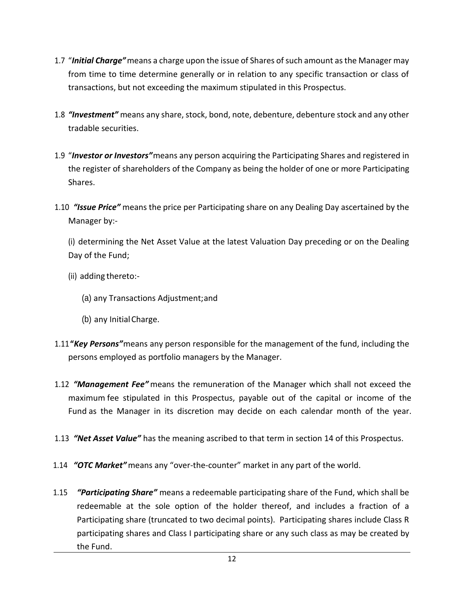- 1.7 "*Initial Charge"*means a charge upon the issue of Shares of such amount as the Manager may from time to time determine generally or in relation to any specific transaction or class of transactions, but not exceeding the maximum stipulated in this Prospectus.
- 1.8 *"Investment"* means any share, stock, bond, note, debenture, debenture stock and any other tradable securities.
- 1.9 "*Investor or Investors"*means any person acquiring the Participating Shares and registered in the register of shareholders of the Company as being the holder of one or more Participating Shares.
- 1.10 *"Issue Price"* means the price per Participating share on any Dealing Day ascertained by the Manager by:-

(i) determining the Net Asset Value at the latest Valuation Day preceding or on the Dealing Day of the Fund;

- (ii) adding thereto:-
	- (a) any Transactions Adjustment;and
	- (b) any InitialCharge.
- 1.11**"***Key Persons"*means any person responsible for the management of the fund, including the persons employed as portfolio managers by the Manager.
- 1.12 *"Management Fee"* means the remuneration of the Manager which shall not exceed the maximum fee stipulated in this Prospectus, payable out of the capital or income of the Fund as the Manager in its discretion may decide on each calendar month of the year.
- 1.13 *"Net Asset Value"* has the meaning ascribed to that term in section 14 of this Prospectus.
- 1.14 *"OTC Market"*means any "over-the-counter" market in any part of the world.
- 1.15 *"Participating Share"* means a redeemable participating share of the Fund, which shall be redeemable at the sole option of the holder thereof, and includes a fraction of a Participating share (truncated to two decimal points). Participating shares include Class R participating shares and Class I participating share or any such class as may be created by the Fund.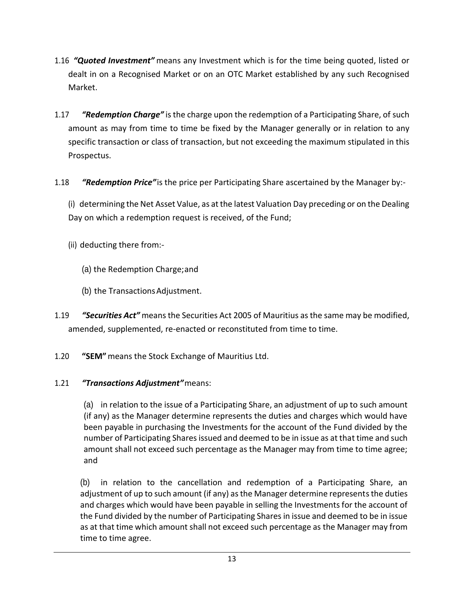- 1.16 *"Quoted Investment"* means any Investment which is for the time being quoted, listed or dealt in on a Recognised Market or on an OTC Market established by any such Recognised Market.
- 1.17 *"Redemption Charge"* is the charge upon the redemption of a Participating Share, of such amount as may from time to time be fixed by the Manager generally or in relation to any specific transaction or class of transaction, but not exceeding the maximum stipulated in this Prospectus.
- 1.18 *"Redemption Price"*is the price per Participating Share ascertained by the Manager by:-

(i) determining the Net Asset Value, as at the latest Valuation Day preceding or on the Dealing Day on which a redemption request is received, of the Fund;

- (ii) deducting there from:-
	- (a) the Redemption Charge;and
	- (b) the TransactionsAdjustment.
- 1.19 *"Securities Act"* meansthe Securities Act 2005 of Mauritius asthe same may be modified, amended, supplemented, re-enacted or reconstituted from time to time.
- 1.20 **"SEM"**means the Stock Exchange of Mauritius Ltd.

# 1.21 *"Transactions Adjustment"*means:

(a) in relation to the issue of a Participating Share, an adjustment of up to such amount (if any) as the Manager determine represents the duties and charges which would have been payable in purchasing the Investments for the account of the Fund divided by the number of Participating Shares issued and deemed to be in issue as at that time and such amount shall not exceed such percentage as the Manager may from time to time agree; and

(b) in relation to the cancellation and redemption of a Participating Share, an adjustment of up to such amount (if any) as the Manager determine represents the duties and charges which would have been payable in selling the Investments for the account of the Fund divided by the number of Participating Shares in issue and deemed to be in issue as at that time which amount shall not exceed such percentage as the Manager may from time to time agree.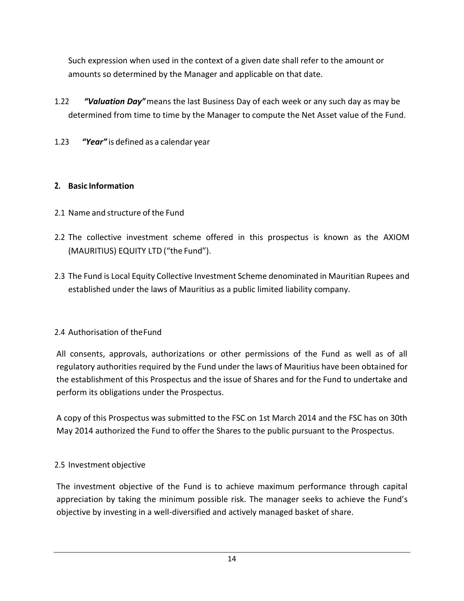Such expression when used in the context of a given date shall refer to the amount or amounts so determined by the Manager and applicable on that date.

- 1.22 *"Valuation Day"*means the last Business Day of each week or any such day as may be determined from time to time by the Manager to compute the Net Asset value of the Fund.
- 1.23 *"Year"* is defined as a calendar year

# <span id="page-13-0"></span>**2. Basic Information**

- 2.1 Name and structure of the Fund
- 2.2 The collective investment scheme offered in this prospectus is known as the AXIOM (MAURITIUS) EQUITY LTD ("the Fund").
- 2.3 The Fund is Local Equity Collective Investment Scheme denominated in Mauritian Rupees and established under the laws of Mauritius as a public limited liability company.

### 2.4 Authorisation of theFund

All consents, approvals, authorizations or other permissions of the Fund as well as of all regulatory authorities required by the Fund under the laws of Mauritius have been obtained for the establishment of this Prospectus and the issue of Shares and for the Fund to undertake and perform its obligations under the Prospectus.

A copy of this Prospectus was submitted to the FSC on 1st March 2014 and the FSC has on 30th May 2014 authorized the Fund to offer the Shares to the public pursuant to the Prospectus.

### 2.5 Investment objective

The investment objective of the Fund is to achieve maximum performance through capital appreciation by taking the minimum possible risk. The manager seeks to achieve the Fund's objective by investing in a well-diversified and actively managed basket of share.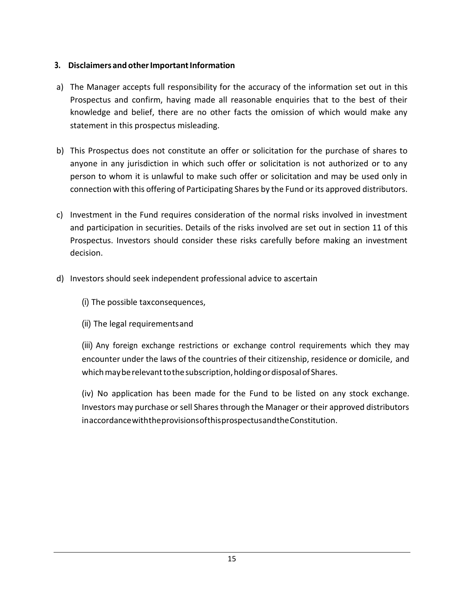### <span id="page-14-0"></span>**3.** Disclaimers and other Important Information

- a) The Manager accepts full responsibility for the accuracy of the information set out in this Prospectus and confirm, having made all reasonable enquiries that to the best of their knowledge and belief, there are no other facts the omission of which would make any statement in this prospectus misleading.
- b) This Prospectus does not constitute an offer or solicitation for the purchase of shares to anyone in any jurisdiction in which such offer or solicitation is not authorized or to any person to whom it is unlawful to make such offer or solicitation and may be used only in connection with this offering of Participating Shares by the Fund or its approved distributors.
- c) Investment in the Fund requires consideration of the normal risks involved in investment and participation in securities. Details of the risks involved are set out in section 11 of this Prospectus. Investors should consider these risks carefully before making an investment decision.
- d) Investors should seek independent professional advice to ascertain
	- (i) The possible taxconsequences,
	- (ii) The legal requirementsand
	- (iii) Any foreign exchange restrictions or exchange control requirements which they may encounter under the laws of the countries of their citizenship, residence or domicile, and which may be relevant to the subscription, holding or disposal of Shares.

(iv) No application has been made for the Fund to be listed on any stock exchange. Investors may purchase or sell Shares through the Manager or their approved distributors inaccordancewiththeprovisionsofthisprospectusandtheConstitution.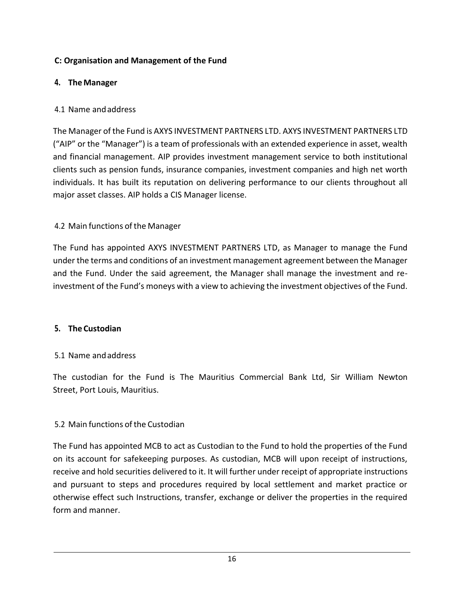### <span id="page-15-0"></span>**C: Organisation and Management of the Fund**

### <span id="page-15-1"></span>**4. The Manager**

### 4.1 Name andaddress

The Manager of the Fund is AXYS INVESTMENT PARTNERS LTD. AXYS INVESTMENT PARTNERS LTD ("AIP" or the "Manager") is a team of professionals with an extended experience in asset, wealth and financial management. AIP provides investment management service to both institutional clients such as pension funds, insurance companies, investment companies and high net worth individuals. It has built its reputation on delivering performance to our clients throughout all major asset classes. AIP holds a CIS Manager license.

### 4.2 Main functions of the Manager

The Fund has appointed AXYS INVESTMENT PARTNERS LTD, as Manager to manage the Fund under the terms and conditions of an investment management agreement between the Manager and the Fund. Under the said agreement, the Manager shall manage the investment and reinvestment of the Fund's moneys with a view to achieving the investment objectives of the Fund.

#### <span id="page-15-2"></span>**5. The Custodian**

#### 5.1 Name andaddress

The custodian for the Fund is The Mauritius Commercial Bank Ltd, Sir William Newton Street, Port Louis, Mauritius.

### 5.2 Main functions of the Custodian

The Fund has appointed MCB to act as Custodian to the Fund to hold the properties of the Fund on its account for safekeeping purposes. As custodian, MCB will upon receipt of instructions, receive and hold securities delivered to it. It will further under receipt of appropriate instructions and pursuant to steps and procedures required by local settlement and market practice or otherwise effect such Instructions, transfer, exchange or deliver the properties in the required form and manner.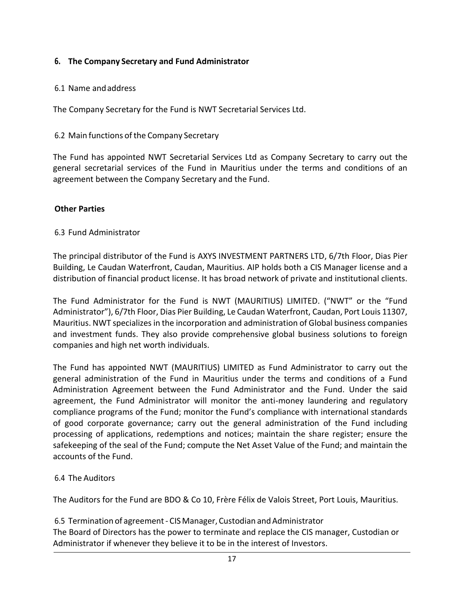### <span id="page-16-0"></span>**6. The Company Secretary and Fund Administrator**

#### 6.1 Name andaddress

The Company Secretary for the Fund is NWT Secretarial Services Ltd.

### 6.2 Main functions of the Company Secretary

The Fund has appointed NWT Secretarial Services Ltd as Company Secretary to carry out the general secretarial services of the Fund in Mauritius under the terms and conditions of an agreement between the Company Secretary and the Fund.

### **Other Parties**

### 6.3 Fund Administrator

The principal distributor of the Fund is AXYS INVESTMENT PARTNERS LTD, 6/7th Floor, Dias Pier Building, Le Caudan Waterfront, Caudan, Mauritius. AIP holds both a CIS Manager license and a distribution of financial product license. It has broad network of private and institutional clients.

The Fund Administrator for the Fund is NWT (MAURITIUS) LIMITED. ("NWT" or the "Fund Administrator"), 6/7th Floor, Dias Pier Building, Le Caudan Waterfront, Caudan, Port Louis 11307, Mauritius. NWT specializes in the incorporation and administration of Global business companies and investment funds. They also provide comprehensive global business solutions to foreign companies and high net worth individuals.

The Fund has appointed NWT (MAURITIUS) LIMITED as Fund Administrator to carry out the general administration of the Fund in Mauritius under the terms and conditions of a Fund Administration Agreement between the Fund Administrator and the Fund. Under the said agreement, the Fund Administrator will monitor the anti-money laundering and regulatory compliance programs of the Fund; monitor the Fund's compliance with international standards of good corporate governance; carry out the general administration of the Fund including processing of applications, redemptions and notices; maintain the share register; ensure the safekeeping of the seal of the Fund; compute the Net Asset Value of the Fund; and maintain the accounts of the Fund.

### 6.4 The Auditors

The Auditors for the Fund are BDO & Co 10, Frère Félix de Valois Street, Port Louis, Mauritius.

6.5 Termination of agreement - CIS Manager, Custodian and Administrator The Board of Directors has the power to terminate and replace the CIS manager, Custodian or Administrator if whenever they believe it to be in the interest of Investors.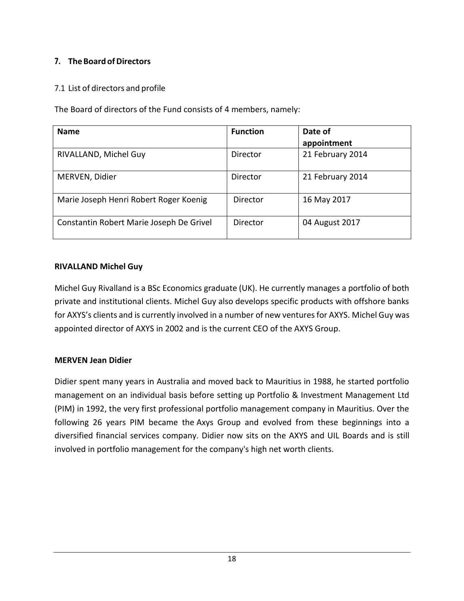# <span id="page-17-0"></span>**7. TheBoard ofDirectors**

### 7.1 List of directors and profile

The Board of directors of the Fund consists of 4 members, namely:

| <b>Name</b>                              | <b>Function</b> | Date of          |
|------------------------------------------|-----------------|------------------|
|                                          |                 | appointment      |
| RIVALLAND, Michel Guy                    | Director        | 21 February 2014 |
| MERVEN, Didier                           | Director        | 21 February 2014 |
| Marie Joseph Henri Robert Roger Koenig   | Director        | 16 May 2017      |
| Constantin Robert Marie Joseph De Grivel | Director        | 04 August 2017   |

#### **RIVALLAND Michel Guy**

Michel Guy Rivalland is a BSc Economics graduate (UK). He currently manages a portfolio of both private and institutional clients. Michel Guy also develops specific products with offshore banks for AXYS's clients and is currently involved in a number of new ventures for AXYS. Michel Guy was appointed director of AXYS in 2002 and is the current CEO of the AXYS Group.

### **MERVEN Jean Didier**

Didier spent many years in Australia and moved back to Mauritius in 1988, he started portfolio management on an individual basis before setting up Portfolio & Investment Management Ltd (PIM) in 1992, the very first professional portfolio management company in Mauritius. Over the following 26 years PIM became the Axys Group and evolved from these beginnings into a diversified financial services company. Didier now sits on the AXYS and UIL Boards and is still involved in portfolio management for the company's high net worth clients.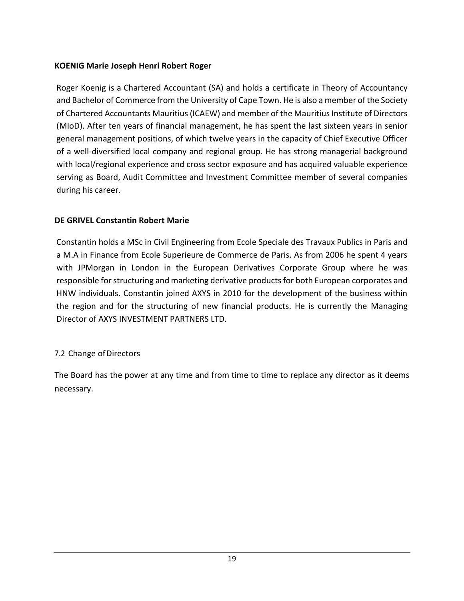### **KOENIG Marie Joseph Henri Robert Roger**

Roger Koenig is a Chartered Accountant (SA) and holds a certificate in Theory of Accountancy and Bachelor of Commerce from the University of Cape Town. He is also a member of the Society of Chartered Accountants Mauritius (ICAEW) and member of the Mauritius Institute of Directors (MIoD). After ten years of financial management, he has spent the last sixteen years in senior general management positions, of which twelve years in the capacity of Chief Executive Officer of a well-diversified local company and regional group. He has strong managerial background with local/regional experience and cross sector exposure and has acquired valuable experience serving as Board, Audit Committee and Investment Committee member of several companies during his career.

### **DE GRIVEL Constantin Robert Marie**

Constantin holds a MSc in Civil Engineering from Ecole Speciale des Travaux Publics in Paris and a M.A in Finance from Ecole Superieure de Commerce de Paris. As from 2006 he spent 4 years with JPMorgan in London in the European Derivatives Corporate Group where he was responsible for structuring and marketing derivative products for both European corporates and HNW individuals. Constantin joined AXYS in 2010 for the development of the business within the region and for the structuring of new financial products. He is currently the Managing Director of AXYS INVESTMENT PARTNERS LTD.

### 7.2 Change of Directors

The Board has the power at any time and from time to time to replace any director as it deems necessary.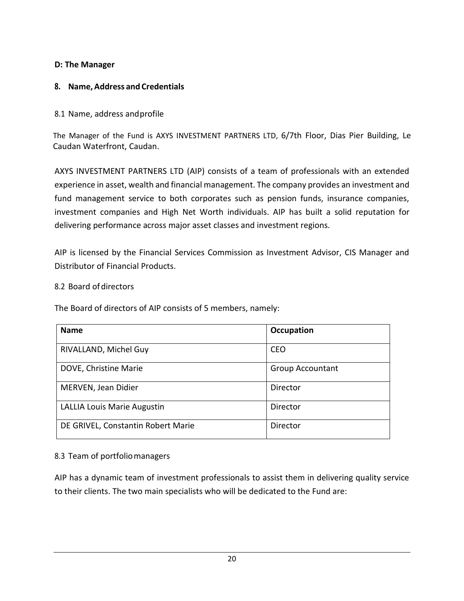### <span id="page-19-0"></span>**D: The Manager**

### <span id="page-19-1"></span>**8. Name, Address and Credentials**

#### 8.1 Name, address andprofile

The Manager of the Fund is AXYS INVESTMENT PARTNERS LTD, 6/7th Floor, Dias Pier Building, Le Caudan Waterfront, Caudan.

AXYS INVESTMENT PARTNERS LTD (AIP) consists of a team of professionals with an extended experience in asset, wealth and financial management. The company provides an investment and fund management service to both corporates such as pension funds, insurance companies, investment companies and High Net Worth individuals. AIP has built a solid reputation for delivering performance across major asset classes and investment regions.

AIP is licensed by the Financial Services Commission as Investment Advisor, CIS Manager and Distributor of Financial Products.

#### 8.2 Board of directors

The Board of directors of AIP consists of 5 members, namely:

| <b>Name</b>                        | Occupation              |
|------------------------------------|-------------------------|
| RIVALLAND, Michel Guy              | <b>CEO</b>              |
| DOVE, Christine Marie              | <b>Group Accountant</b> |
| MERVEN, Jean Didier                | Director                |
| <b>LALLIA Louis Marie Augustin</b> | Director                |
| DE GRIVEL, Constantin Robert Marie | Director                |

#### 8.3 Team of portfoliomanagers

AIP has a dynamic team of investment professionals to assist them in delivering quality service to their clients. The two main specialists who will be dedicated to the Fund are: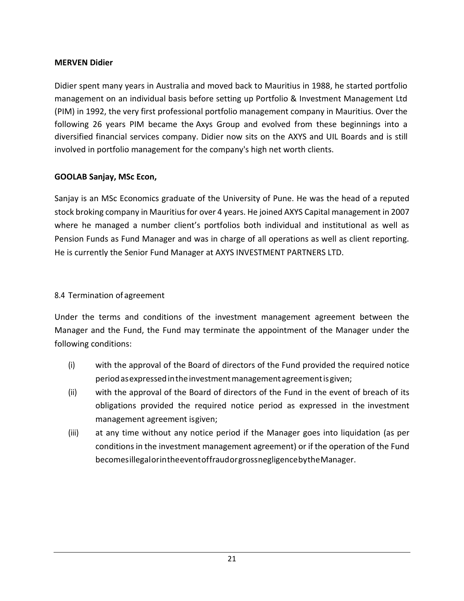### **MERVEN Didier**

Didier spent many years in Australia and moved back to Mauritius in 1988, he started portfolio management on an individual basis before setting up Portfolio & Investment Management Ltd (PIM) in 1992, the very first professional portfolio management company in Mauritius. Over the following 26 years PIM became the Axys Group and evolved from these beginnings into a diversified financial services company. Didier now sits on the AXYS and UIL Boards and is still involved in portfolio management for the company's high net worth clients.

### **GOOLAB Sanjay, MSc Econ,**

Sanjay is an MSc Economics graduate of the University of Pune. He was the head of a reputed stock broking company in Mauritius for over 4 years. He joined AXYS Capital management in 2007 where he managed a number client's portfolios both individual and institutional as well as Pension Funds as Fund Manager and was in charge of all operations as well as client reporting. He is currently the Senior Fund Manager at AXYS INVESTMENT PARTNERS LTD.

#### 8.4 Termination of agreement

Under the terms and conditions of the investment management agreement between the Manager and the Fund, the Fund may terminate the appointment of the Manager under the following conditions:

- (i) with the approval of the Board of directors of the Fund provided the required notice periodasexpressedintheinvestmentmanagementagreementisgiven;
- (ii) with the approval of the Board of directors of the Fund in the event of breach of its obligations provided the required notice period as expressed in the investment management agreement isgiven;
- (iii) at any time without any notice period if the Manager goes into liquidation (as per conditions in the investment management agreement) or if the operation of the Fund becomesillegalorintheeventoffraudorgrossnegligencebytheManager.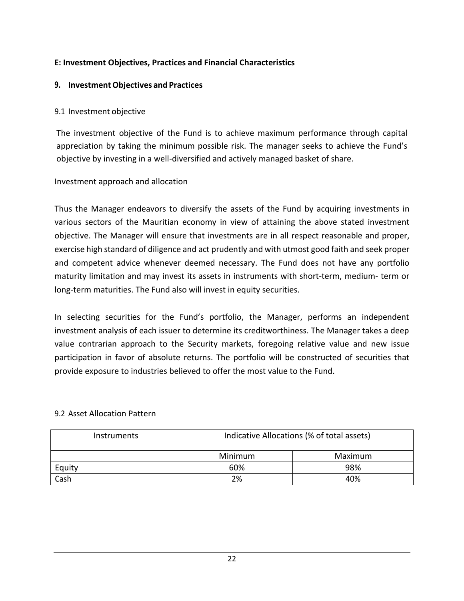### <span id="page-21-0"></span>**E: Investment Objectives, Practices and Financial Characteristics**

#### <span id="page-21-1"></span>**9. InvestmentObjectives and Practices**

#### 9.1 Investment objective

The investment objective of the Fund is to achieve maximum performance through capital appreciation by taking the minimum possible risk. The manager seeks to achieve the Fund's objective by investing in a well-diversified and actively managed basket of share.

### Investment approach and allocation

Thus the Manager endeavors to diversify the assets of the Fund by acquiring investments in various sectors of the Mauritian economy in view of attaining the above stated investment objective. The Manager will ensure that investments are in all respect reasonable and proper, exercise high standard of diligence and act prudently and with utmost good faith and seek proper and competent advice whenever deemed necessary. The Fund does not have any portfolio maturity limitation and may invest its assets in instruments with short-term, medium- term or long-term maturities. The Fund also will invest in equity securities.

In selecting securities for the Fund's portfolio, the Manager, performs an independent investment analysis of each issuer to determine its creditworthiness. The Manager takes a deep value contrarian approach to the Security markets, foregoing relative value and new issue participation in favor of absolute returns. The portfolio will be constructed of securities that provide exposure to industries believed to offer the most value to the Fund.

#### 9.2 Asset Allocation Pattern

| Instruments | Indicative Allocations (% of total assets) |         |  |
|-------------|--------------------------------------------|---------|--|
|             | Minimum                                    | Maximum |  |
| Equity      | 60%                                        | 98%     |  |
| Cash        | 2%                                         | 40%     |  |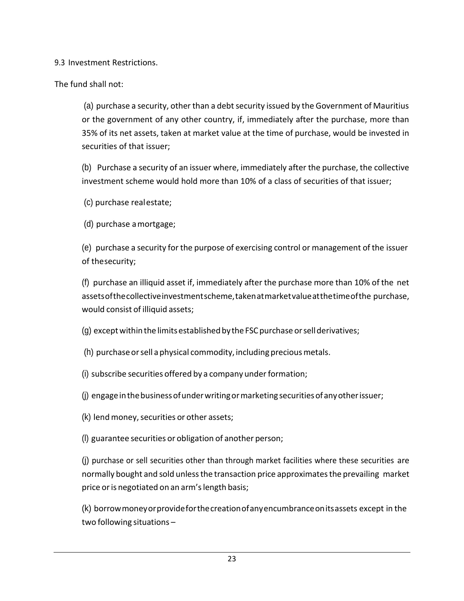9.3 Investment Restrictions.

The fund shall not:

(a) purchase a security, other than a debt security issued by the Government of Mauritius or the government of any other country, if, immediately after the purchase, more than 35% of its net assets, taken at market value at the time of purchase, would be invested in securities of that issuer;

(b) Purchase a security of an issuer where, immediately after the purchase, the collective investment scheme would hold more than 10% of a class of securities of that issuer;

(c) purchase realestate;

(d) purchase amortgage;

(e) purchase a security for the purpose of exercising control or management of the issuer of thesecurity;

(f) purchase an illiquid asset if, immediately after the purchase more than 10% of the net assetsofthecollectiveinvestmentscheme,takenatmarketvalueatthetimeofthe purchase, would consist of illiquid assets;

 $(q)$  except within the limits established by the FSC purchase or sell derivatives;

- (h) purchase or sell a physical commodity, including precious metals.
- $(i)$  subscribe securities offered by a company under formation;
- (j) engage in the business of under writing or marketing securities of any other issuer;
- (k) lend money, securities or other assets;
- (l) guarantee securities or obligation of another person;

(j) purchase or sell securities other than through market facilities where these securities are normally bought and sold unlessthe transaction price approximatesthe prevailing market price or is negotiated on an arm's length basis;

(k) borrowmoneyorprovideforthecreationofanyencumbranceonitsassets except in the two following situations –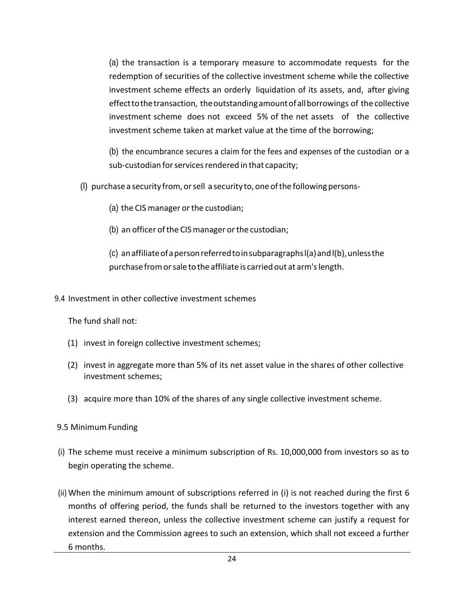(a) the transaction is a temporary measure to accommodate requests for the redemption of securities of the collective investment scheme while the collective investment scheme effects an orderly liquidation of its assets, and, after giving effecttothetransaction, theoutstandingamountofallborrowings of the collective investment scheme does not exceed 5% of the net assets of the collective investment scheme taken at market value at the time of the borrowing;

(b) the encumbrance secures a claim for the fees and expenses of the custodian or a sub-custodian for services rendered in that capacity;

- (l) purchase a security from,orsell a security to,oneofthe followingpersons-
	- (a) the CIS manager orthe custodian;
	- (b) an officer of the CIS manager or the custodian;

(c) anaffiliateofapersonreferredtoinsubparagraphsl(a)andl(b),unlessthe purchase from or sale to the affiliate is carried out at arm's length.

9.4 Investment in other collective investment schemes

The fund shall not:

- (1) invest in foreign collective investment schemes;
- (2) invest in aggregate more than 5% of its net asset value in the shares of other collective investment schemes;
- (3) acquire more than 10% of the shares of any single collective investment scheme.
- 9.5 Minimum Funding
- (i) The scheme must receive a minimum subscription of Rs. 10,000,000 from investors so as to begin operating the scheme.
- (ii) When the minimum amount of subscriptions referred in (i) is not reached during the first 6 months of offering period, the funds shall be returned to the investors together with any interest earned thereon, unless the collective investment scheme can justify a request for extension and the Commission agrees to such an extension, which shall not exceed a further 6 months.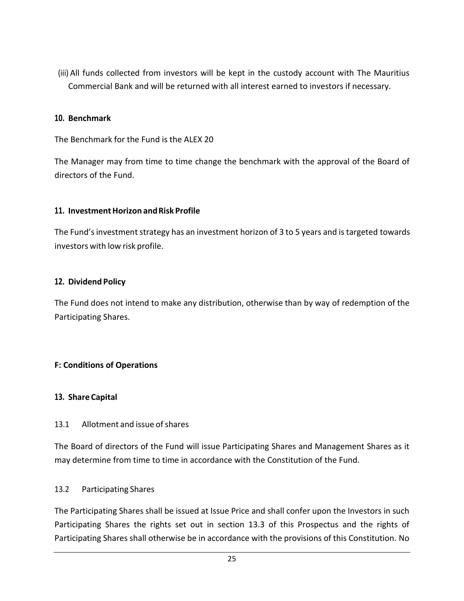(iii) All funds collected from investors will be kept in the custody account with The Mauritius Commercial Bank and will be returned with all interest earned to investors if necessary.

#### <span id="page-24-0"></span>**10. Benchmark**

The Benchmark for the Fund is the ALEX 20

The Manager may from time to time change the benchmark with the approval of the Board of directors of the Fund.

#### <span id="page-24-1"></span>**11. InvestmentHorizon andRisk Profile**

The Fund's investment strategy has an investment horizon of 3 to 5 years and is targeted towards investors with low risk profile.

#### <span id="page-24-2"></span>**12. Dividend Policy**

The Fund does not intend to make any distribution, otherwise than by way of redemption of the Participating Shares.

#### <span id="page-24-3"></span>**F: Conditions of Operations**

#### <span id="page-24-4"></span>**13. Share Capital**

#### 13.1 Allotment and issue of shares

The Board of directors of the Fund will issue Participating Shares and Management Shares as it may determine from time to time in accordance with the Constitution of the Fund.

#### 13.2 Participating Shares

The Participating Shares shall be issued at Issue Price and shall confer upon the Investors in such Participating Shares the rights set out in section 13.3 of this Prospectus and the rights of Participating Shares shall otherwise be in accordance with the provisions of this Constitution. No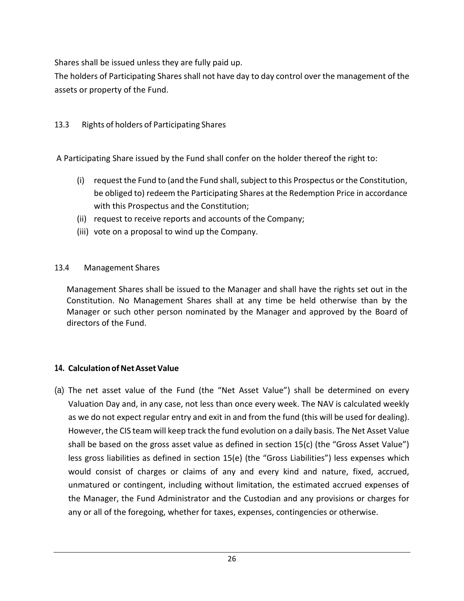Shares shall be issued unless they are fully paid up.

The holders of Participating Shares shall not have day to day control over the management of the assets or property of the Fund.

13.3 Rights of holders of Participating Shares

A Participating Share issued by the Fund shall confer on the holder thereof the right to:

- (i) request the Fund to (and the Fund shall, subject to this Prospectus or the Constitution, be obliged to) redeem the Participating Shares at the Redemption Price in accordance with this Prospectus and the Constitution;
- (ii) request to receive reports and accounts of the Company;
- (iii) vote on a proposal to wind up the Company.

### 13.4 Management Shares

Management Shares shall be issued to the Manager and shall have the rights set out in the Constitution. No Management Shares shall at any time be held otherwise than by the Manager or such other person nominated by the Manager and approved by the Board of directors of the Fund.

### <span id="page-25-0"></span>**14. Calculation of Net Asset Value**

(a) The net asset value of the Fund (the "Net Asset Value") shall be determined on every Valuation Day and, in any case, not less than once every week. The NAV is calculated weekly as we do not expect regular entry and exit in and from the fund (this will be used for dealing). However, the CIS team will keep track the fund evolution on a daily basis. The Net Asset Value shall be based on the gross asset value as defined in section 15(c) (the "Gross Asset Value") less gross liabilities as defined in section 15(e) (the "Gross Liabilities") less expenses which would consist of charges or claims of any and every kind and nature, fixed, accrued, unmatured or contingent, including without limitation, the estimated accrued expenses of the Manager, the Fund Administrator and the Custodian and any provisions or charges for any or all of the foregoing, whether for taxes, expenses, contingencies or otherwise.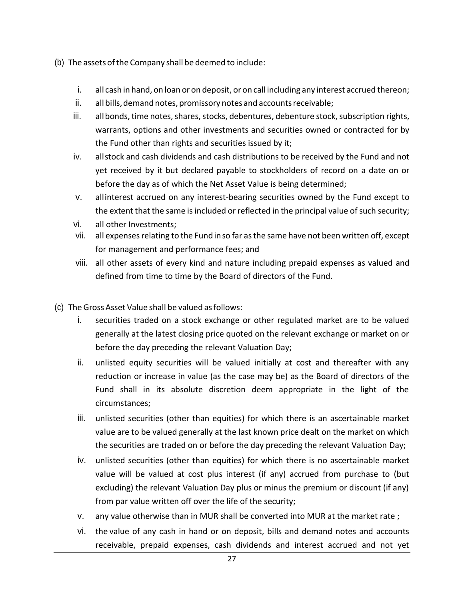- (b) The assets of the Company shall be deemed to include:
	- i. all cash in hand, on loan or on deposit, or on call including any interest accrued thereon;
	- ii. all bills, demand notes, promissory notes and accounts receivable;
	- iii. all bonds, time notes, shares, stocks, debentures, debenture stock, subscription rights, warrants, options and other investments and securities owned or contracted for by the Fund other than rights and securities issued by it;
	- iv. allstock and cash dividends and cash distributions to be received by the Fund and not yet received by it but declared payable to stockholders of record on a date on or before the day as of which the Net Asset Value is being determined;
	- v. allinterest accrued on any interest-bearing securities owned by the Fund except to the extent that the same is included or reflected in the principal value of such security;
	- vi. all other Investments;
	- vii. all expenses relating to the Fund in so far as the same have not been written off, except for management and performance fees; and
	- viii. all other assets of every kind and nature including prepaid expenses as valued and defined from time to time by the Board of directors of the Fund.
- (c) The Gross Asset Value shall be valued asfollows:
	- i. securities traded on a stock exchange or other regulated market are to be valued generally at the latest closing price quoted on the relevant exchange or market on or before the day preceding the relevant Valuation Day;
	- ii. unlisted equity securities will be valued initially at cost and thereafter with any reduction or increase in value (as the case may be) as the Board of directors of the Fund shall in its absolute discretion deem appropriate in the light of the circumstances;
	- iii. unlisted securities (other than equities) for which there is an ascertainable market value are to be valued generally at the last known price dealt on the market on which the securities are traded on or before the day preceding the relevant Valuation Day;
	- iv. unlisted securities (other than equities) for which there is no ascertainable market value will be valued at cost plus interest (if any) accrued from purchase to (but excluding) the relevant Valuation Day plus or minus the premium or discount (if any) from par value written off over the life of the security;
	- v. any value otherwise than in MUR shall be converted into MUR at the market rate ;
	- vi. the value of any cash in hand or on deposit, bills and demand notes and accounts receivable, prepaid expenses, cash dividends and interest accrued and not yet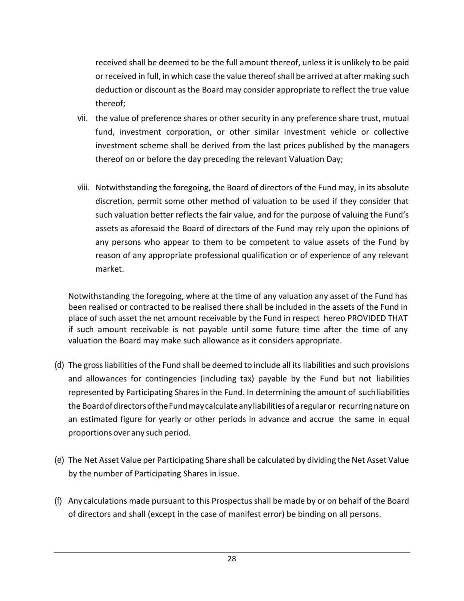received shall be deemed to be the full amount thereof, unless it is unlikely to be paid or received in full, in which case the value thereof shall be arrived at after making such deduction or discount as the Board may consider appropriate to reflect the true value thereof;

- vii. the value of preference shares or other security in any preference share trust, mutual fund, investment corporation, or other similar investment vehicle or collective investment scheme shall be derived from the last prices published by the managers thereof on or before the day preceding the relevant Valuation Day;
- viii. Notwithstanding the foregoing, the Board of directors of the Fund may, in its absolute discretion, permit some other method of valuation to be used if they consider that such valuation better reflects the fair value, and for the purpose of valuing the Fund's assets as aforesaid the Board of directors of the Fund may rely upon the opinions of any persons who appear to them to be competent to value assets of the Fund by reason of any appropriate professional qualification or of experience of any relevant market.

Notwithstanding the foregoing, where at the time of any valuation any asset of the Fund has been realised or contracted to be realised there shall be included in the assets of the Fund in place of such asset the net amount receivable by the Fund in respect hereo PROVIDED THAT if such amount receivable is not payable until some future time after the time of any valuation the Board may make such allowance as it considers appropriate.

- (d) The gross liabilities of the Fund shall be deemed to include all its liabilities and such provisions and allowances for contingencies (including tax) payable by the Fund but not liabilities represented by Participating Shares in the Fund. In determining the amount of suchliabilities the BoardofdirectorsoftheFundmaycalculateanyliabilitiesofaregularor recurring nature on an estimated figure for yearly or other periods in advance and accrue the same in equal proportions over any such period.
- (e) The Net Asset Value per Participating Share shall be calculated by dividing the Net Asset Value by the number of Participating Shares in issue.
- (f) Any calculations made pursuant to this Prospectusshall be made by or on behalf of the Board of directors and shall (except in the case of manifest error) be binding on all persons.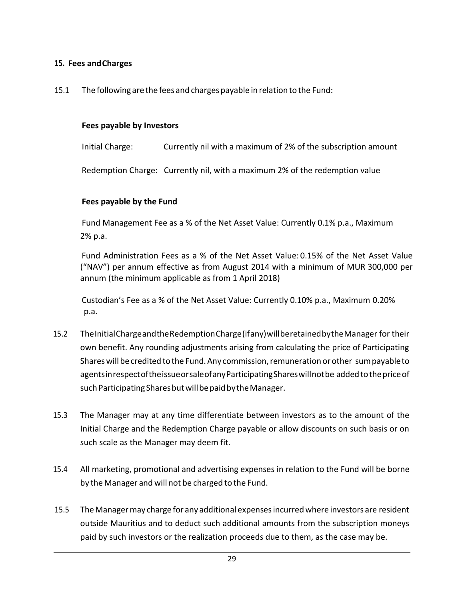### <span id="page-28-0"></span>**15. Fees andCharges**

15.1 The following are the fees and charges payable in relation to the Fund:

#### **Fees payable by Investors**

Initial Charge: Currently nil with a maximum of 2% of the subscription amount

Redemption Charge: Currently nil, with a maximum 2% of the redemption value

### **Fees payable by the Fund**

Fund Management Fee as a % of the Net Asset Value: Currently 0.1% p.a., Maximum 2% p.a.

Fund Administration Fees as a % of the Net Asset Value: 0.15% of the Net Asset Value ("NAV") per annum effective as from August 2014 with a minimum of MUR 300,000 per annum (the minimum applicable as from 1 April 2018)

Custodian's Fee as a % of the Net Asset Value: Currently 0.10% p.a., Maximum 0.20% p.a.

- 15.2 TheInitialChargeandtheRedemptionCharge(ifany)willberetainedbytheManager for their own benefit. Any rounding adjustments arising from calculating the price of Participating Shares will be credited to the Fund. Any commission, remuneration or other sum payable to agentsinrespectoftheissueorsaleofanyParticipatingShareswillnotbe addedtothepriceof such Participating Shares but will be paid by the Manager.
- 15.3 The Manager may at any time differentiate between investors as to the amount of the Initial Charge and the Redemption Charge payable or allow discounts on such basis or on such scale as the Manager may deem fit.
- 15.4 All marketing, promotional and advertising expenses in relation to the Fund will be borne by the Manager and will not be charged to the Fund.
- 15.5 TheManagermay charge for any additional expensesincurredwhere investors are resident outside Mauritius and to deduct such additional amounts from the subscription moneys paid by such investors or the realization proceeds due to them, as the case may be.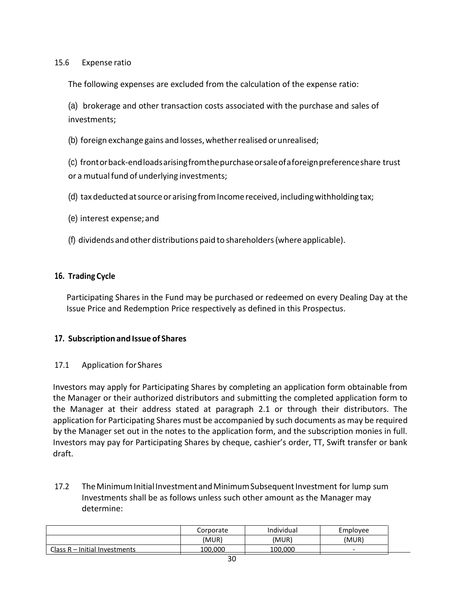#### 15.6 Expense ratio

The following expenses are excluded from the calculation of the expense ratio:

(a) brokerage and other transaction costs associated with the purchase and sales of investments;

(b) foreign exchange gains and losses,whetherrealised orunrealised;

(c) frontorback-endloadsarisingfromthepurchaseorsaleofaforeignpreferenceshare trust or a mutual fund of underlying investments;

(d) tax deducted at source or arising from Income received, including withholding tax;

- (e) interest expense;and
- (f) dividends and other distributions paid to shareholders(where applicable).

#### <span id="page-29-0"></span>**16. Trading Cycle**

Participating Shares in the Fund may be purchased or redeemed on every Dealing Day at the Issue Price and Redemption Price respectively as defined in this Prospectus.

#### <span id="page-29-1"></span>**17. Subscription and Issue of Shares**

#### 17.1 Application forShares

Investors may apply for Participating Shares by completing an application form obtainable from the Manager or their authorized distributors and submitting the completed application form to the Manager at their address stated at paragraph 2.1 or through their distributors. The application for Participating Shares must be accompanied by such documents as may be required by the Manager set out in the notes to the application form, and the subscription monies in full. Investors may pay for Participating Shares by cheque, cashier's order, TT, Swift transfer or bank draft.

17.2 The Minimum Initial Investment and Minimum Subsequent Investment for lump sum Investments shall be as follows unless such other amount as the Manager may determine:

|                                 | Corporate | Individual | Emplovee |
|---------------------------------|-----------|------------|----------|
|                                 | (MUR)     | (MUR)      | (MUR)    |
| Class $R$ – Initial Investments | 100.000   | 100.000    | -        |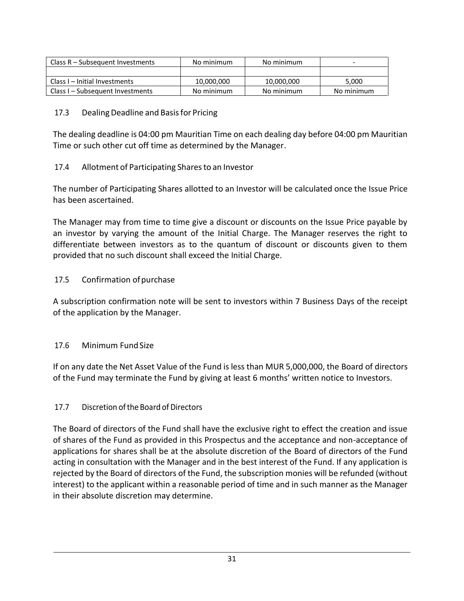| Class R – Subsequent Investments | No minimum | No minimum | -          |
|----------------------------------|------------|------------|------------|
|                                  |            |            |            |
| Class I – Initial Investments    | 10,000,000 | 10,000,000 | 5,000      |
| Class I – Subsequent Investments | No minimum | No minimum | No minimum |

### 17.3 Dealing Deadline and Basis for Pricing

The dealing deadline is 04:00 pm Mauritian Time on each dealing day before 04:00 pm Mauritian Time or such other cut off time as determined by the Manager.

### 17.4 Allotment of Participating Shares to an Investor

The number of Participating Shares allotted to an Investor will be calculated once the Issue Price has been ascertained.

The Manager may from time to time give a discount or discounts on the Issue Price payable by an investor by varying the amount of the Initial Charge. The Manager reserves the right to differentiate between investors as to the quantum of discount or discounts given to them provided that no such discount shall exceed the Initial Charge.

### 17.5 Confirmation of purchase

A subscription confirmation note will be sent to investors within 7 Business Days of the receipt of the application by the Manager.

### 17.6 Minimum FundSize

If on any date the Net Asset Value of the Fund is less than MUR 5,000,000, the Board of directors of the Fund may terminate the Fund by giving at least 6 months' written notice to Investors.

### 17.7 Discretion of the Board of Directors

The Board of directors of the Fund shall have the exclusive right to effect the creation and issue of shares of the Fund as provided in this Prospectus and the acceptance and non-acceptance of applications for shares shall be at the absolute discretion of the Board of directors of the Fund acting in consultation with the Manager and in the best interest of the Fund. If any application is rejected by the Board of directors of the Fund, the subscription monies will be refunded (without interest) to the applicant within a reasonable period of time and in such manner as the Manager in their absolute discretion may determine.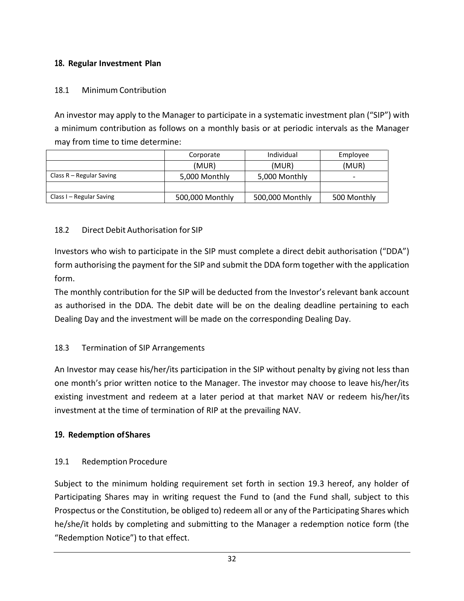# <span id="page-31-0"></span>**18. Regular Investment Plan**

### 18.1 Minimum Contribution

An investor may apply to the Manager to participate in a systematic investment plan ("SIP") with a minimum contribution as follows on a monthly basis or at periodic intervals as the Manager may from time to time determine:

|                            | Corporate       | Individual      | Employee                 |
|----------------------------|-----------------|-----------------|--------------------------|
|                            | (MUR)           | (MUR)           | (MUR)                    |
| Class $R - Regular$ Saving | 5,000 Monthly   | 5,000 Monthly   | $\overline{\phantom{0}}$ |
|                            |                 |                 |                          |
| Class I – Regular Saving   | 500,000 Monthly | 500,000 Monthly | 500 Monthly              |

### 18.2 Direct Debit Authorisation for SIP

Investors who wish to participate in the SIP must complete a direct debit authorisation ("DDA") form authorising the payment for the SIP and submit the DDA form together with the application form.

The monthly contribution for the SIP will be deducted from the Investor's relevant bank account as authorised in the DDA. The debit date will be on the dealing deadline pertaining to each Dealing Day and the investment will be made on the corresponding Dealing Day.

### 18.3 Termination of SIP Arrangements

An Investor may cease his/her/its participation in the SIP without penalty by giving not less than one month's prior written notice to the Manager. The investor may choose to leave his/her/its existing investment and redeem at a later period at that market NAV or redeem his/her/its investment at the time of termination of RIP at the prevailing NAV.

### <span id="page-31-1"></span>**19. Redemption ofShares**

### 19.1 Redemption Procedure

Subject to the minimum holding requirement set forth in section 19.3 hereof, any holder of Participating Shares may in writing request the Fund to (and the Fund shall, subject to this Prospectus or the Constitution, be obliged to) redeem all or any of the Participating Shares which he/she/it holds by completing and submitting to the Manager a redemption notice form (the "Redemption Notice") to that effect.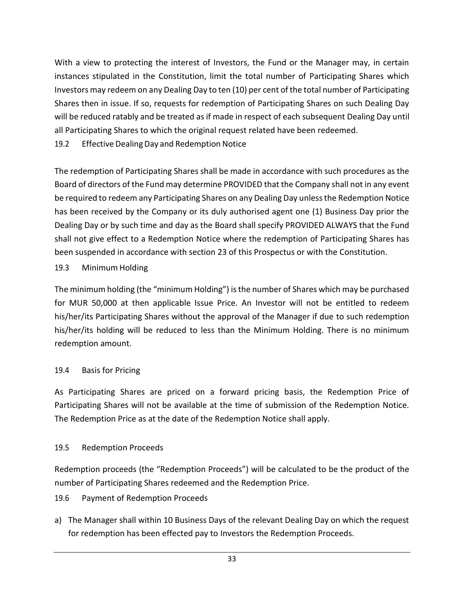With a view to protecting the interest of Investors, the Fund or the Manager may, in certain instances stipulated in the Constitution, limit the total number of Participating Shares which Investors may redeem on any Dealing Day to ten (10) per cent of the total number of Participating Shares then in issue. If so, requests for redemption of Participating Shares on such Dealing Day will be reduced ratably and be treated as if made in respect of each subsequent Dealing Day until all Participating Shares to which the original request related have been redeemed.

19.2 Effective Dealing Day and Redemption Notice

The redemption of Participating Shares shall be made in accordance with such procedures as the Board of directors of the Fund may determine PROVIDED that the Company shall not in any event be required to redeem any Participating Shares on any Dealing Day unless the Redemption Notice has been received by the Company or its duly authorised agent one (1) Business Day prior the Dealing Day or by such time and day as the Board shall specify PROVIDED ALWAYS that the Fund shall not give effect to a Redemption Notice where the redemption of Participating Shares has been suspended in accordance with section 23 of this Prospectus or with the Constitution.

### 19.3 Minimum Holding

The minimum holding (the "minimum Holding") is the number of Shares which may be purchased for MUR 50,000 at then applicable Issue Price. An Investor will not be entitled to redeem his/her/its Participating Shares without the approval of the Manager if due to such redemption his/her/its holding will be reduced to less than the Minimum Holding. There is no minimum redemption amount.

### 19.4 Basis for Pricing

As Participating Shares are priced on a forward pricing basis, the Redemption Price of Participating Shares will not be available at the time of submission of the Redemption Notice. The Redemption Price as at the date of the Redemption Notice shall apply.

#### 19.5 Redemption Proceeds

Redemption proceeds (the "Redemption Proceeds") will be calculated to be the product of the number of Participating Shares redeemed and the Redemption Price.

- 19.6 Payment of Redemption Proceeds
- a) The Manager shall within 10 Business Days of the relevant Dealing Day on which the request for redemption has been effected pay to Investors the Redemption Proceeds.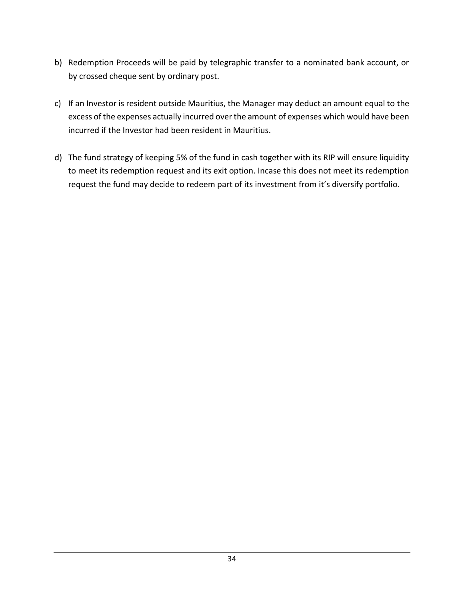- b) Redemption Proceeds will be paid by telegraphic transfer to a nominated bank account, or by crossed cheque sent by ordinary post.
- c) If an Investor is resident outside Mauritius, the Manager may deduct an amount equal to the excess of the expenses actually incurred over the amount of expenses which would have been incurred if the Investor had been resident in Mauritius.
- d) The fund strategy of keeping 5% of the fund in cash together with its RIP will ensure liquidity to meet its redemption request and its exit option. Incase this does not meet its redemption request the fund may decide to redeem part of its investment from it's diversify portfolio.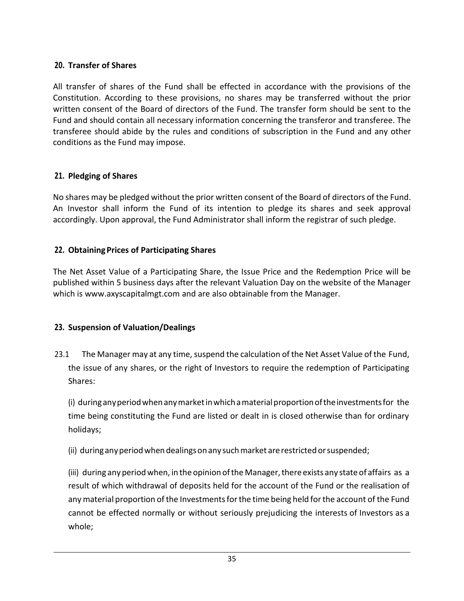# <span id="page-34-0"></span>**20. Transfer of Shares**

All transfer of shares of the Fund shall be effected in accordance with the provisions of the Constitution. According to these provisions, no shares may be transferred without the prior written consent of the Board of directors of the Fund. The transfer form should be sent to the Fund and should contain all necessary information concerning the transferor and transferee. The transferee should abide by the rules and conditions of subscription in the Fund and any other conditions as the Fund may impose.

# <span id="page-34-1"></span>**21. Pledging of Shares**

No shares may be pledged without the prior written consent of the Board of directors of the Fund. An Investor shall inform the Fund of its intention to pledge its shares and seek approval accordingly. Upon approval, the Fund Administrator shall inform the registrar of such pledge.

# **22. ObtainingPrices of Participating Shares**

The Net Asset Value of a Participating Share, the Issue Price and the Redemption Price will be published within 5 business days after the relevant Valuation Day on the website of the Manager which is [www.axyscapitalmgt.com a](http://www.axyscapitalmgt.com/)nd are also obtainable from the Manager.

# <span id="page-34-2"></span>**23. Suspension of Valuation/Dealings**

23.1 The Manager may at any time, suspend the calculation of the Net Asset Value of the Fund, the issue of any shares, or the right of Investors to require the redemption of Participating Shares:

(i) duringanyperiodwhenanymarketinwhichamaterialproportionoftheinvestmentsfor the time being constituting the Fund are listed or dealt in is closed otherwise than for ordinary holidays;

(ii) during any period when dealings on any such market are restricted or suspended;

(iii) during any period when, in the opinion of the Manager, there exists any state of affairs as a result of which withdrawal of deposits held for the account of the Fund or the realisation of anymaterial proportion ofthe Investmentsforthe time being held forthe account of the Fund cannot be effected normally or without seriously prejudicing the interests of Investors as a whole;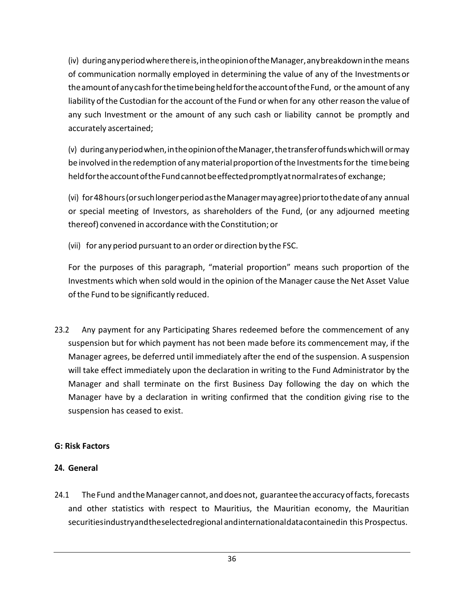(iv) duringanyperiodwherethereis,intheopinionoftheManager,anybreakdowninthe means of communication normally employed in determining the value of any of the Investmentsor theamountofanycashforthetimebeingheldfortheaccountoftheFund, orthe amount of any liability of the Custodian for the account of the Fund or when for any other reason the value of any such Investment or the amount of any such cash or liability cannot be promptly and accurately ascertained;

(v) duringanyperiodwhen,intheopinionoftheManager,thetransferoffundswhichwill ormay be involved in the redemption of any material proportion of the Investments for the time being held for the account of the Fund cannot be effected promptly at normal rates of exchange;

(vi) for48hours(orsuchlongerperiodastheManagermayagree)priortothedateofany annual or special meeting of Investors, as shareholders of the Fund, (or any adjourned meeting thereof) convened in accordance with the Constitution; or

(vii) for any period pursuant to an order or direction by the FSC.

For the purposes of this paragraph, "material proportion" means such proportion of the Investments which when sold would in the opinion of the Manager cause the Net Asset Value of the Fund to be significantly reduced.

23.2 Any payment for any Participating Shares redeemed before the commencement of any suspension but for which payment has not been made before its commencement may, if the Manager agrees, be deferred until immediately after the end of the suspension. A suspension will take effect immediately upon the declaration in writing to the Fund Administrator by the Manager and shall terminate on the first Business Day following the day on which the Manager have by a declaration in writing confirmed that the condition giving rise to the suspension has ceased to exist.

### **G: Risk Factors**

# **24. General**

24.1 The Fund and the Manager cannot, and does not, guarantee the accuracy of facts, forecasts and other statistics with respect to Mauritius, the Mauritian economy, the Mauritian securitiesindustryandtheselectedregional andinternationaldatacontainedin this Prospectus.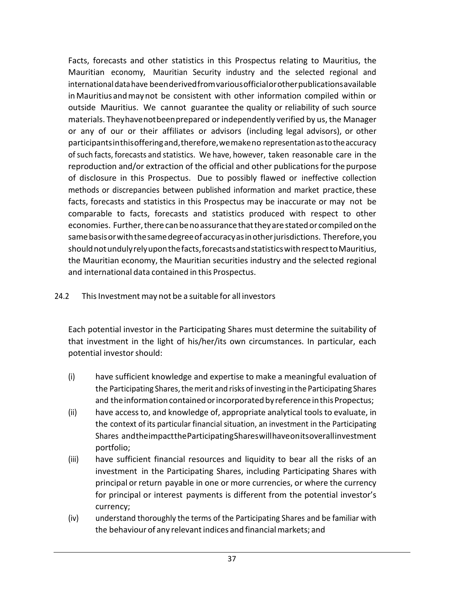Facts, forecasts and other statistics in this Prospectus relating to Mauritius, the Mauritian economy, Mauritian Security industry and the selected regional and internationaldatahave beenderivedfromvariousofficialorotherpublicationsavailable in Mauritius andmaynot be consistent with other information compiled within or outside Mauritius. We cannot guarantee the quality or reliability of such source materials. Theyhavenotbeenprepared or independently verified by us, the Manager or any of our or their affiliates or advisors (including legal advisors), or other participantsinthisofferingand,therefore,wemakeno representationastotheaccuracy ofsuch facts, forecasts and statistics. We have, however, taken reasonable care in the reproduction and/or extraction of the official and other publicationsforthe purpose of disclosure in this Prospectus. Due to possibly flawed or ineffective collection methods or discrepancies between published information and market practice, these facts, forecasts and statistics in this Prospectus may be inaccurate or may not be comparable to facts, forecasts and statistics produced with respect to other economies. Further, there can be no assurance that they are stated or compiled on the same basis or with the same degree of accuracy as in other jurisdictions. Therefore, you shouldnotundulyrelyuponthefacts,forecastsandstatisticswithrespecttoMauritius, the Mauritian economy, the Mauritian securities industry and the selected regional and international data contained in this Prospectus.

# 24.2 This Investment may not be a suitable for all investors

Each potential investor in the Participating Shares must determine the suitability of that investment in the light of his/her/its own circumstances. In particular, each potential investor should:

- (i) have sufficient knowledge and expertise to make a meaningful evaluation of the Participating Shares, the merit and risks of investing in the Participating Shares and the information contained or incorporated by reference in this Propectus;
- (ii) have accessto, and knowledge of, appropriate analytical toolsto evaluate, in the context of its particular financial situation, an investment in the Participating Shares andtheimpacttheParticipatingShareswillhaveonitsoverallinvestment portfolio;
- (iii) have sufficient financial resources and liquidity to bear all the risks of an investment in the Participating Shares, including Participating Shares with principal or return payable in one or more currencies, or where the currency for principal or interest payments is different from the potential investor's currency;
- (iv) understand thoroughly the terms of the Participating Shares and be familiar with the behaviour of any relevant indices and financial markets; and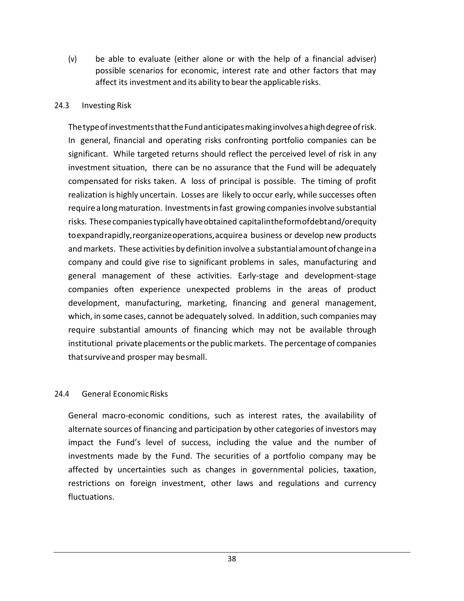(v) be able to evaluate (either alone or with the help of a financial adviser) possible scenarios for economic, interest rate and other factors that may affect its investment and its ability to bearthe applicable risks.

#### 24.3 Investing Risk

The type of investments that the Fund anticipates making involves a high degree of risk. In general, financial and operating risks confronting portfolio companies can be significant. While targeted returns should reflect the perceived level of risk in any investment situation, there can be no assurance that the Fund will be adequately compensated for risks taken. A loss of principal is possible. The timing of profit realization is highly uncertain. Losses are likely to occur early, while successes often require alongmaturation. Investmentsinfast growing companiesinvolve substantial risks. Thesecompaniestypicallyhaveobtained capitalintheformofdebtand/orequity toexpandrapidly,reorganizeoperations,acquirea business or develop new products and markets. These activities by definition involve a substantial amount of change in a company and could give rise to significant problems in sales, manufacturing and general management of these activities. Early-stage and development-stage companies often experience unexpected problems in the areas of product development, manufacturing, marketing, financing and general management, which, in some cases, cannot be adequately solved. In addition, such companies may require substantial amounts of financing which may not be available through institutional private placements orthe publicmarkets. The percentage of companies thatsurviveand prosper may besmall.

#### 24.4 General EconomicRisks

General macro-economic conditions, such as interest rates, the availability of alternate sources of financing and participation by other categories of investors may impact the Fund's level of success, including the value and the number of investments made by the Fund. The securities of a portfolio company may be affected by uncertainties such as changes in governmental policies, taxation, restrictions on foreign investment, other laws and regulations and currency fluctuations.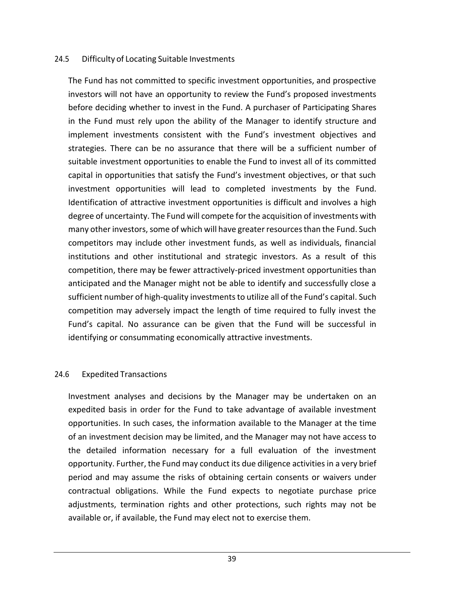#### 24.5 Difficulty of Locating Suitable Investments

The Fund has not committed to specific investment opportunities, and prospective investors will not have an opportunity to review the Fund's proposed investments before deciding whether to invest in the Fund. A purchaser of Participating Shares in the Fund must rely upon the ability of the Manager to identify structure and implement investments consistent with the Fund's investment objectives and strategies. There can be no assurance that there will be a sufficient number of suitable investment opportunities to enable the Fund to invest all of its committed capital in opportunities that satisfy the Fund's investment objectives, or that such investment opportunities will lead to completed investments by the Fund. Identification of attractive investment opportunities is difficult and involves a high degree of uncertainty. The Fund will compete for the acquisition of investments with many other investors, some of which will have greater resources than the Fund. Such competitors may include other investment funds, as well as individuals, financial institutions and other institutional and strategic investors. As a result of this competition, there may be fewer attractively-priced investment opportunities than anticipated and the Manager might not be able to identify and successfully close a sufficient number of high-quality investments to utilize all of the Fund's capital. Such competition may adversely impact the length of time required to fully invest the Fund's capital. No assurance can be given that the Fund will be successful in identifying or consummating economically attractive investments.

#### 24.6 Expedited Transactions

Investment analyses and decisions by the Manager may be undertaken on an expedited basis in order for the Fund to take advantage of available investment opportunities. In such cases, the information available to the Manager at the time of an investment decision may be limited, and the Manager may not have access to the detailed information necessary for a full evaluation of the investment opportunity. Further, the Fund may conduct its due diligence activitiesin a very brief period and may assume the risks of obtaining certain consents or waivers under contractual obligations. While the Fund expects to negotiate purchase price adjustments, termination rights and other protections, such rights may not be available or, if available, the Fund may elect not to exercise them.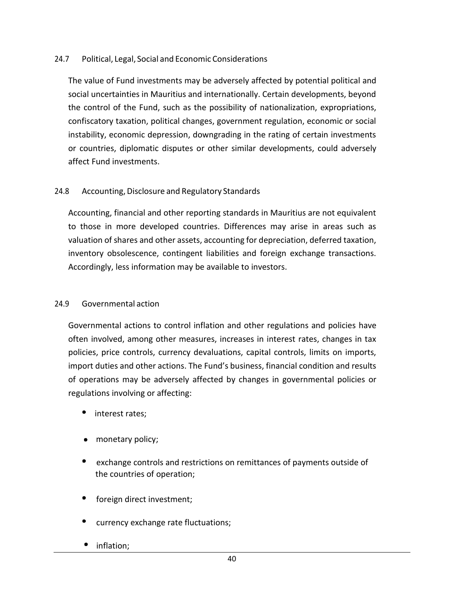### 24.7 Political, Legal, Social and Economic Considerations

The value of Fund investments may be adversely affected by potential political and social uncertainties in Mauritius and internationally. Certain developments, beyond the control of the Fund, such as the possibility of nationalization, expropriations, confiscatory taxation, political changes, government regulation, economic or social instability, economic depression, downgrading in the rating of certain investments or countries, diplomatic disputes or other similar developments, could adversely affect Fund investments.

#### 24.8 Accounting, Disclosure and Regulatory Standards

Accounting, financial and other reporting standards in Mauritius are not equivalent to those in more developed countries. Differences may arise in areas such as valuation of shares and other assets, accounting for depreciation, deferred taxation, inventory obsolescence, contingent liabilities and foreign exchange transactions. Accordingly, less information may be available to investors.

#### 24.9 Governmental action

Governmental actions to control inflation and other regulations and policies have often involved, among other measures, increases in interest rates, changes in tax policies, price controls, currency devaluations, capital controls, limits on imports, import duties and other actions. The Fund's business, financial condition and results of operations may be adversely affected by changes in governmental policies or regulations involving or affecting:

- interest rates;
- monetary policy;
- exchange controls and restrictions on remittances of payments outside of the countries of operation;
- foreign direct investment;
- currency exchange rate fluctuations;
- inflation;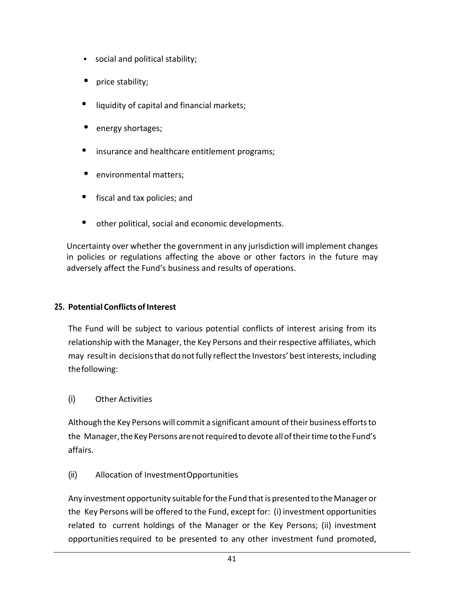- social and political stability;
- price stability;
- liquidity of capital and financial markets;
- energy shortages;
- insurance and healthcare entitlement programs;
- environmental matters;
- $\bullet$ fiscal and tax policies; and
- other political, social and economic developments.

Uncertainty over whether the government in any jurisdiction will implement changes in policies or regulations affecting the above or other factors in the future may adversely affect the Fund's business and results of operations.

# **25. Potential Conflicts of Interest**

The Fund will be subject to various potential conflicts of interest arising from its relationship with the Manager, the Key Persons and their respective affiliates, which may resultin decisionsthat do notfully reflectthe Investors' bestinterests, including thefollowing:

### (i) Other Activities

Although the Key Persons will commit a significant amount oftheir business effortsto the Manager, the Key Persons are not required to devote all of their time to the Fund's affairs.

# (ii) Allocation of InvestmentOpportunities

Any investment opportunity suitable for the Fund that is presented to the Manager or the Key Persons will be offered to the Fund, except for: (i) investment opportunities related to current holdings of the Manager or the Key Persons; (ii) investment opportunities required to be presented to any other investment fund promoted,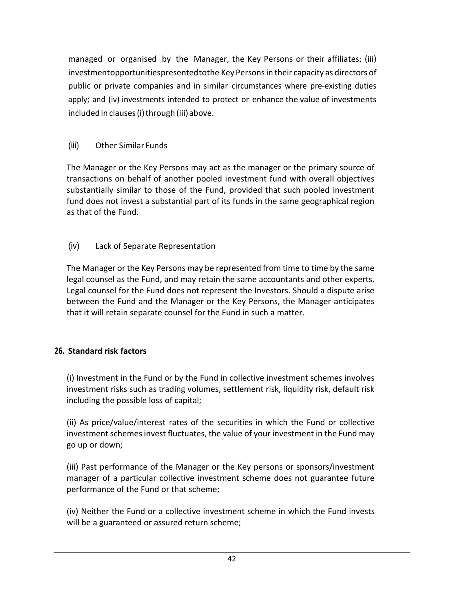managed or organised by the Manager, the Key Persons or their affiliates; (iii) investmentopportunitiespresentedtothe Key Personsin their capacity as directors of public or private companies and in similar circumstances where pre-existing duties apply; and (iv) investments intended to protect or enhance the value of investments included in clauses (i) through (iii) above.

# (iii) Other SimilarFunds

The Manager or the Key Persons may act as the manager or the primary source of transactions on behalf of another pooled investment fund with overall objectives substantially similar to those of the Fund, provided that such pooled investment fund does not invest a substantial part of its funds in the same geographical region as that of the Fund.

# (iv) Lack of Separate Representation

The Manager or the Key Persons may be represented from time to time by the same legal counsel as the Fund, and may retain the same accountants and other experts. Legal counsel for the Fund does not represent the Investors. Should a dispute arise between the Fund and the Manager or the Key Persons, the Manager anticipates that it will retain separate counsel for the Fund in such a matter.

# **26. Standard risk factors**

(i) Investment in the Fund or by the Fund in collective investment schemes involves investment risks such as trading volumes, settlement risk, liquidity risk, default risk including the possible loss of capital;

(ii) As price/value/interest rates of the securities in which the Fund or collective investment schemes invest fluctuates, the value of your investment in the Fund may go up or down;

(iii) Past performance of the Manager or the Key persons or sponsors/investment manager of a particular collective investment scheme does not guarantee future performance of the Fund or that scheme;

(iv) Neither the Fund or a collective investment scheme in which the Fund invests will be a guaranteed or assured return scheme;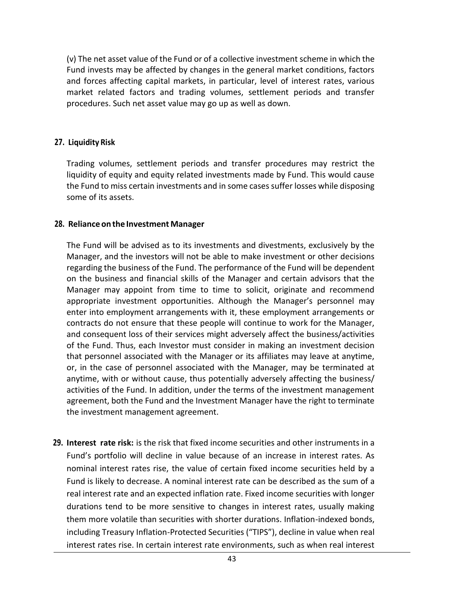(v) The net asset value of the Fund or of a collective investment scheme in which the Fund invests may be affected by changes in the general market conditions, factors and forces affecting capital markets, in particular, level of interest rates, various market related factors and trading volumes, settlement periods and transfer procedures. Such net asset value may go up as well as down.

#### **27. Liquidity Risk**

Trading volumes, settlement periods and transfer procedures may restrict the liquidity of equity and equity related investments made by Fund. This would cause the Fund to miss certain investments and in some cases suffer losses while disposing some of its assets.

#### **28. Reliance onthe Investment Manager**

The Fund will be advised as to its investments and divestments, exclusively by the Manager, and the investors will not be able to make investment or other decisions regarding the business of the Fund. The performance of the Fund will be dependent on the business and financial skills of the Manager and certain advisors that the Manager may appoint from time to time to solicit, originate and recommend appropriate investment opportunities. Although the Manager's personnel may enter into employment arrangements with it, these employment arrangements or contracts do not ensure that these people will continue to work for the Manager, and consequent loss of their services might adversely affect the business/activities of the Fund. Thus, each Investor must consider in making an investment decision that personnel associated with the Manager or its affiliates may leave at anytime, or, in the case of personnel associated with the Manager, may be terminated at anytime, with or without cause, thus potentially adversely affecting the business/ activities of the Fund. In addition, under the terms of the investment management agreement, both the Fund and the Investment Manager have the right to terminate the investment management agreement.

**29. Interest rate risk:** is the risk that fixed income securities and other instruments in a Fund's portfolio will decline in value because of an increase in interest rates. As nominal interest rates rise, the value of certain fixed income securities held by a Fund is likely to decrease. A nominal interest rate can be described as the sum of a real interest rate and an expected inflation rate. Fixed income securities with longer durations tend to be more sensitive to changes in interest rates, usually making them more volatile than securities with shorter durations. Inflation-indexed bonds, including Treasury Inflation-Protected Securities ("TIPS"), decline in value when real interest rates rise. In certain interest rate environments, such as when real interest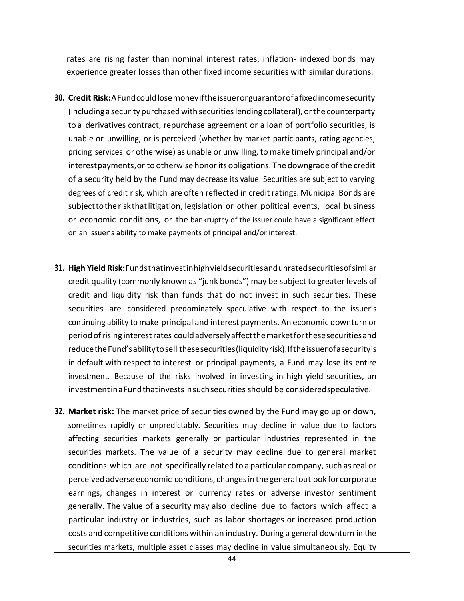rates are rising faster than nominal interest rates, inflation- indexed bonds may experience greater losses than other fixed income securities with similar durations.

- **30. Credit Risk:**AFundcouldlosemoneyiftheissuerorguarantorofafixedincomesecurity (includinga securitypurchasedwith securitieslending collateral),orthe counterparty to a derivatives contract, repurchase agreement or a loan of portfolio securities, is unable or unwilling, or is perceived (whether by market participants, rating agencies, pricing services or otherwise) as unable or unwilling,to make timely principal and/or interest payments, or to otherwise honor its obligations. The downgrade of the credit of a security held by the Fund may decrease its value. Securities are subject to varying degrees of credit risk, which are often reflected in credit ratings. Municipal Bonds are subjecttotheriskthatlitigation, legislation or other political events, local business or economic conditions, or the bankruptcy of the issuer could have a significant effect on an issuer's ability to make payments of principal and/or interest.
- **31. High Yield Risk:**Fundsthatinvestinhighyieldsecuritiesandunratedsecuritiesofsimilar credit quality (commonly known as "junk bonds") may be subject to greater levels of credit and liquidity risk than funds that do not invest in such securities. These securities are considered predominately speculative with respect to the issuer's continuing ability to make principal and interest payments. An economic downturn or period ofrising interestrates couldadverselyaffectthemarketforthesesecuritiesand reduce the Fund's ability to sell these securities (liquidity risk). If the issuer of a security is in default with respect to interest or principal payments, a Fund may lose its entire investment. Because of the risks involved in investing in high yield securities, an investmentinaFundthatinvestsinsuchsecurities should be consideredspeculative.
- **32. Market risk:** The market price of securities owned by the Fund may go up or down, sometimes rapidly or unpredictably. Securities may decline in value due to factors affecting securities markets generally or particular industries represented in the securities markets. The value of a security may decline due to general market conditions which are not specifically related to a particular company, such as real or perceivedadverse economic conditions, changesin the general outlook for corporate earnings, changes in interest or currency rates or adverse investor sentiment generally. The value of a security may also decline due to factors which affect a particular industry or industries, such as labor shortages or increased production costs and competitive conditions within an industry. During a general downturn in the securities markets, multiple asset classes may decline in value simultaneously. Equity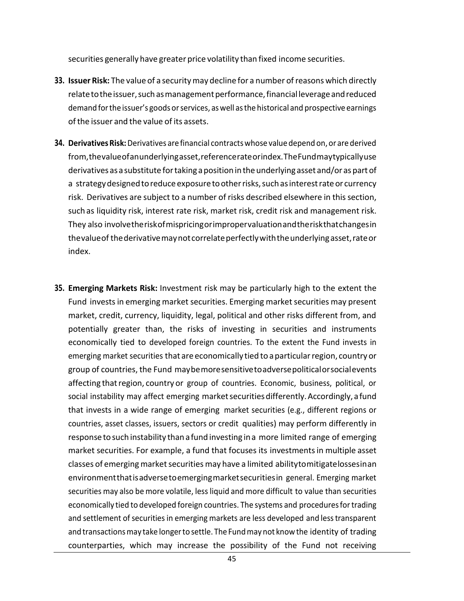securities generally have greater price volatility than fixed income securities.

- **33. Issuer Risk:** The value of a securitymay decline for a number ofreasons which directly relate to the issuer, such as management performance, financial leverage and reduced demand for the issuer's goods or services, as well as the historical and prospective earnings ofthe issuer and the value of its assets.
- **34. DerivativesRisk:**Derivatives are financial contractswhose valuedepend on, or are derived from,thevalueofanunderlyingasset,referencerateorindex.TheFundmaytypicallyuse derivatives asa substitute fortaking apositionintheunderlying asset and/or as part of a strategy designed to reduce exposure to other risks, such as interest rate or currency risk. Derivatives are subject to a number of risks described elsewhere in this section, such as liquidity risk, interest rate risk, market risk, credit risk and management risk. They also involvetheriskofmispricingorimpropervaluationandtheriskthatchangesin thevalueof thederivativemaynotcorrelateperfectlywiththeunderlyingasset,rateor index.
- **35. Emerging Markets Risk:** Investment risk may be particularly high to the extent the Fund invests in emerging market securities. Emerging market securities may present market, credit, currency, liquidity, legal, political and other risks different from, and potentially greater than, the risks of investing in securities and instruments economically tied to developed foreign countries. To the extent the Fund invests in emerging market securities that are economically tied to a particular region, country or group of countries, the Fund maybemoresensitivetoadversepoliticalorsocialevents affecting thatregion, country or group of countries. Economic, business, political, or social instability may affect emerging market securities differently. Accordingly, a fund that invests in a wide range of emerging market securities (e.g., different regions or countries, asset classes, issuers, sectors or credit qualities) may perform differently in response to such instability than afund investing ina more limited range of emerging market securities. For example, a fund that focuses its investmentsin multiple asset classes of emerging market securities may have a limited abilitytomitigatelossesinan environmentthatisadversetoemergingmarketsecuritiesin general. Emerging market securities may also be more volatile, less liquid and more difficult to value than securities economically tied to developed foreign countries. The systems and procedures for trading and settlement of securities in emerging markets are less developed and less transparent and transactions may take longer to settle. The Fund may not know the identity of trading counterparties, which may increase the possibility of the Fund not receiving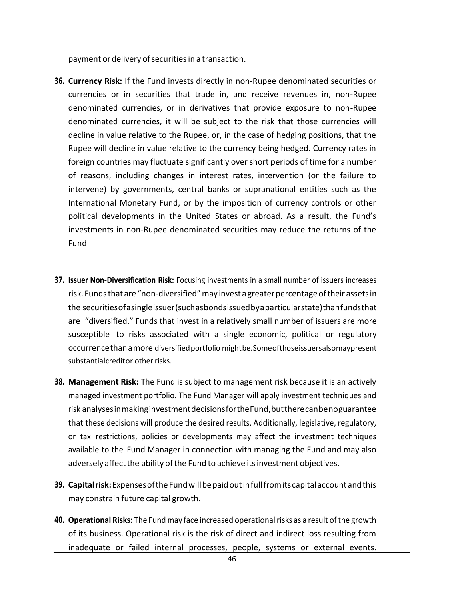payment or delivery of securities in a transaction.

- **36. Currency Risk:** If the Fund invests directly in non-Rupee denominated securities or currencies or in securities that trade in, and receive revenues in, non-Rupee denominated currencies, or in derivatives that provide exposure to non-Rupee denominated currencies, it will be subject to the risk that those currencies will decline in value relative to the Rupee, or, in the case of hedging positions, that the Rupee will decline in value relative to the currency being hedged. Currency rates in foreign countries may fluctuate significantly over short periods of time for a number of reasons, including changes in interest rates, intervention (or the failure to intervene) by governments, central banks or supranational entities such as the International Monetary Fund, or by the imposition of currency controls or other political developments in the United States or abroad. As a result, the Fund's investments in non-Rupee denominated securities may reduce the returns of the Fund
- **37. Issuer Non-Diversification Risk:** Focusing investments in a small number of issuers increases risk. Funds that are "non-diversified" may invest a greater percentage of their assets in the securitiesofasingleissuer(suchasbondsissuedbyaparticularstate)thanfundsthat are "diversified." Funds that invest in a relatively small number of issuers are more susceptible to risks associated with a single economic, political or regulatory occurrencethanamore diversified portfolio mightbe.Someofthoseissuersalsomaypresent substantialcreditor other risks.
- **38. Management Risk:** The Fund is subject to management risk because it is an actively managed investment portfolio. The Fund Manager will apply investment techniques and risk analysesinmakinginvestmentdecisionsfortheFund,buttherecanbenoguarantee that these decisions will produce the desired results. Additionally, legislative, regulatory, or tax restrictions, policies or developments may affect the investment techniques available to the Fund Manager in connection with managing the Fund and may also adversely affect the ability of the Fund to achieve its investment objectives.
- **39. Capitalrisk:**ExpensesoftheFundwillbepaidoutinfullfromitscapitalaccountandthis may constrain future capital growth.
- **40. Operational Risks:** The Fund may face increased operationalrisks as a result ofthe growth of its business. Operational risk is the risk of direct and indirect loss resulting from inadequate or failed internal processes, people, systems or external events.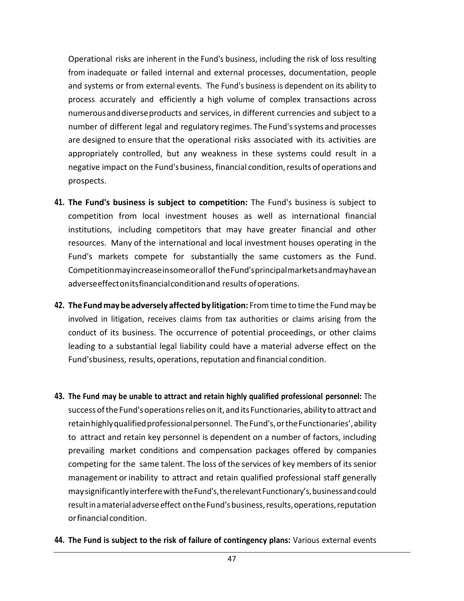Operational risks are inherent in the Fund's business, including the risk of loss resulting from inadequate or failed internal and external processes, documentation, people and systems or from external events. The Fund's business is dependent on its ability to process accurately and efficiently a high volume of complex transactions across numerousanddiverseproducts and services, in different currencies and subject to a number of different legal and regulatory regimes. The Fund'ssystems and processes are designed to ensure that the operational risks associated with its activities are appropriately controlled, but any weakness in these systems could result in a negative impact on the Fund's business, financial condition, results of operations and prospects.

- **41. The Fund's business is subject to competition:** The Fund's business is subject to competition from local investment houses as well as international financial institutions, including competitors that may have greater financial and other resources. Many of the international and local investment houses operating in the Fund's markets compete for substantially the same customers as the Fund. Competitionmayincreaseinsomeorallof theFund'sprincipalmarketsandmayhavean adverseeffectonitsfinancialconditionand results ofoperations.
- **42. The Fundmaybe adversely affected by litigation:** From time to time the Fund may be involved in litigation, receives claims from tax authorities or claims arising from the conduct of its business. The occurrence of potential proceedings, or other claims leading to a substantial legal liability could have a material adverse effect on the Fund'sbusiness, results, operations, reputation and financial condition.
- **43. The Fund may be unable to attract and retain highly qualified professional personnel:** The successoftheFund'soperationsrelieson it, and its Functionaries, ability to attract and retain highly qualified professional personnel. The Fund's, or the Functionaries', ability to attract and retain key personnel is dependent on a number of factors, including prevailing market conditions and compensation packages offered by companies competing for the same talent. The loss of the services of key members of its senior management orinability to attract and retain qualified professional staff generally maysignificantlyinterferewith theFund's,therelevant Functionary's,businessandcould result in a material adverse effect on the Fund's business, results, operations, reputation orfinancial condition.
- **44. The Fund is subject to the risk of failure of contingency plans:** Various external events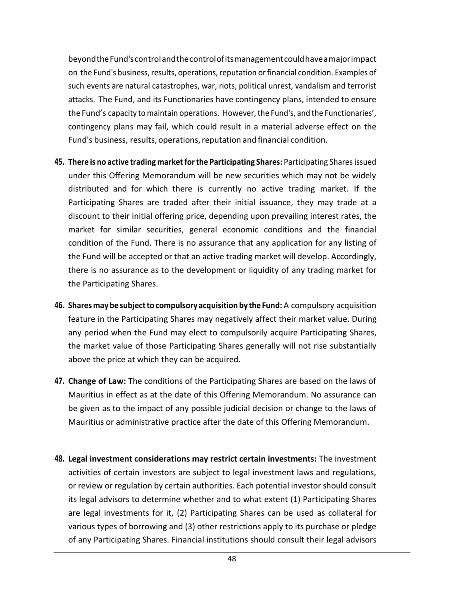beyondtheFund'scontrolandthecontrolofitsmanagementcouldhaveamajorimpact on the Fund's business,results, operations,reputation orfinancial condition. Examples of such events are natural catastrophes, war, riots, political unrest, vandalism and terrorist attacks. The Fund, and its Functionaries have contingency plans, intended to ensure theFund's capacity to maintain operations. However, the Fund's, and the Functionaries', contingency plans may fail, which could result in a material adverse effect on the Fund's business, results, operations, reputation and financial condition.

- **45. There is no active trading marketforthe Participating Shares:** Participating Sharesissued under this Offering Memorandum will be new securities which may not be widely distributed and for which there is currently no active trading market. If the Participating Shares are traded after their initial issuance, they may trade at a discount to their initial offering price, depending upon prevailing interest rates, the market for similar securities, general economic conditions and the financial condition of the Fund. There is no assurance that any application for any listing of the Fund will be accepted or that an active trading market will develop. Accordingly, there is no assurance as to the development or liquidity of any trading market for the Participating Shares.
- **46. Shares maybe subjectto compulsory acquisition by the Fund:** A compulsory acquisition feature in the Participating Shares may negatively affect their market value. During any period when the Fund may elect to compulsorily acquire Participating Shares, the market value of those Participating Shares generally will not rise substantially above the price at which they can be acquired.
- **47. Change of Law:** The conditions of the Participating Shares are based on the laws of Mauritius in effect as at the date of this Offering Memorandum. No assurance can be given as to the impact of any possible judicial decision or change to the laws of Mauritius or administrative practice after the date of this Offering Memorandum.
- **48. Legal investment considerations may restrict certain investments:** The investment activities of certain investors are subject to legal investment laws and regulations, or review or regulation by certain authorities. Each potential investor should consult its legal advisors to determine whether and to what extent (1) Participating Shares are legal investments for it, (2) Participating Shares can be used as collateral for various types of borrowing and (3) other restrictions apply to its purchase or pledge of any Participating Shares. Financial institutions should consult their legal advisors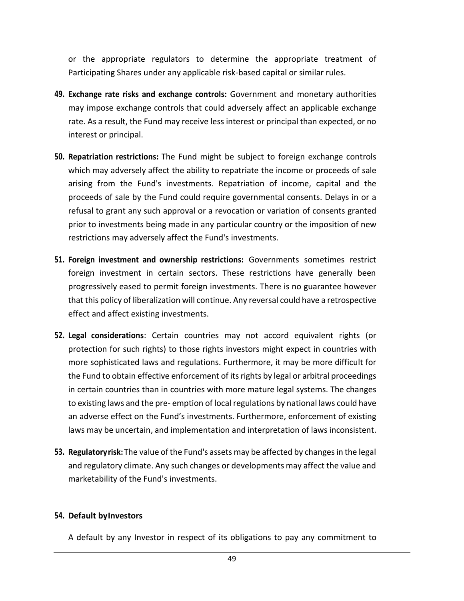or the appropriate regulators to determine the appropriate treatment of Participating Shares under any applicable risk-based capital or similar rules.

- **49. Exchange rate risks and exchange controls:** Government and monetary authorities may impose exchange controls that could adversely affect an applicable exchange rate. As a result, the Fund may receive less interest or principal than expected, or no interest or principal.
- **50. Repatriation restrictions:** The Fund might be subject to foreign exchange controls which may adversely affect the ability to repatriate the income or proceeds of sale arising from the Fund's investments. Repatriation of income, capital and the proceeds of sale by the Fund could require governmental consents. Delays in or a refusal to grant any such approval or a revocation or variation of consents granted prior to investments being made in any particular country or the imposition of new restrictions may adversely affect the Fund's investments.
- **51. Foreign investment and ownership restrictions:** Governments sometimes restrict foreign investment in certain sectors. These restrictions have generally been progressively eased to permit foreign investments. There is no guarantee however that this policy of liberalization will continue. Any reversal could have a retrospective effect and affect existing investments.
- **52. Legal considerations**: Certain countries may not accord equivalent rights (or protection for such rights) to those rights investors might expect in countries with more sophisticated laws and regulations. Furthermore, it may be more difficult for the Fund to obtain effective enforcement of its rights by legal or arbitral proceedings in certain countries than in countries with more mature legal systems. The changes to existing laws and the pre- emption of local regulations by national laws could have an adverse effect on the Fund's investments. Furthermore, enforcement of existing laws may be uncertain, and implementation and interpretation of laws inconsistent.
- **53. Regulatoryrisk:**The value of the Fund's assets may be affected by changes in the legal and regulatory climate. Any such changes or developments may affect the value and marketability of the Fund's investments.

#### **54. Default byInvestors**

A default by any Investor in respect of its obligations to pay any commitment to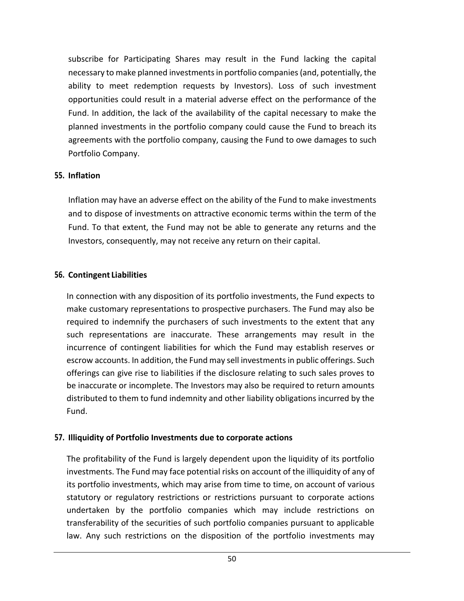subscribe for Participating Shares may result in the Fund lacking the capital necessary to make planned investments in portfolio companies (and, potentially, the ability to meet redemption requests by Investors). Loss of such investment opportunities could result in a material adverse effect on the performance of the Fund. In addition, the lack of the availability of the capital necessary to make the planned investments in the portfolio company could cause the Fund to breach its agreements with the portfolio company, causing the Fund to owe damages to such Portfolio Company.

#### **55. Inflation**

Inflation may have an adverse effect on the ability of the Fund to make investments and to dispose of investments on attractive economic terms within the term of the Fund. To that extent, the Fund may not be able to generate any returns and the Investors, consequently, may not receive any return on their capital.

### **56. Contingent Liabilities**

In connection with any disposition of its portfolio investments, the Fund expects to make customary representations to prospective purchasers. The Fund may also be required to indemnify the purchasers of such investments to the extent that any such representations are inaccurate. These arrangements may result in the incurrence of contingent liabilities for which the Fund may establish reserves or escrow accounts. In addition, the Fund may sell investments in public offerings. Such offerings can give rise to liabilities if the disclosure relating to such sales proves to be inaccurate or incomplete. The Investors may also be required to return amounts distributed to them to fund indemnity and other liability obligations incurred by the Fund.

#### **57. Illiquidity of Portfolio Investments due to corporate actions**

The profitability of the Fund is largely dependent upon the liquidity of its portfolio investments. The Fund may face potential risks on account of the illiquidity of any of its portfolio investments, which may arise from time to time, on account of various statutory or regulatory restrictions or restrictions pursuant to corporate actions undertaken by the portfolio companies which may include restrictions on transferability of the securities of such portfolio companies pursuant to applicable law. Any such restrictions on the disposition of the portfolio investments may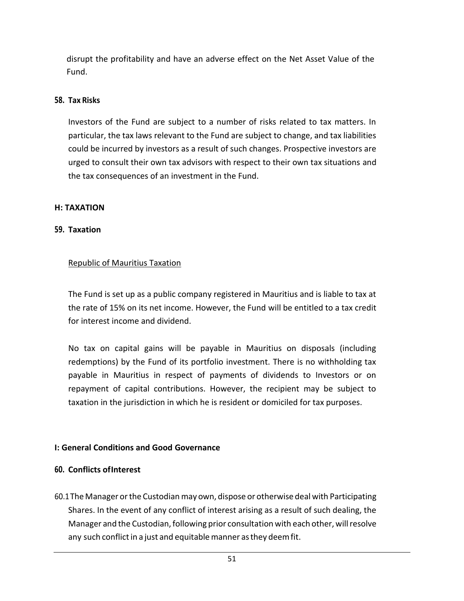disrupt the profitability and have an adverse effect on the Net Asset Value of the Fund.

#### **58. Tax Risks**

Investors of the Fund are subject to a number of risks related to tax matters. In particular, the tax laws relevant to the Fund are subject to change, and tax liabilities could be incurred by investors as a result of such changes. Prospective investors are urged to consult their own tax advisors with respect to their own tax situations and the tax consequences of an investment in the Fund.

#### **H: TAXATION**

### **59. Taxation**

### Republic of Mauritius Taxation

The Fund is set up as a public company registered in Mauritius and is liable to tax at the rate of 15% on its net income. However, the Fund will be entitled to a tax credit for interest income and dividend.

No tax on capital gains will be payable in Mauritius on disposals (including redemptions) by the Fund of its portfolio investment. There is no withholding tax payable in Mauritius in respect of payments of dividends to Investors or on repayment of capital contributions. However, the recipient may be subject to taxation in the jurisdiction in which he is resident or domiciled for tax purposes.

### <span id="page-50-0"></span>**I: General Conditions and Good Governance**

#### <span id="page-50-1"></span>**60. Conflicts ofInterest**

60.1 The Manager or the Custodian may own, dispose or otherwise deal with Participating Shares. In the event of any conflict of interest arising as a result of such dealing, the Manager and the Custodian, following prior consultation with each other, will resolve any such conflict in a just and equitable manner as they deem fit.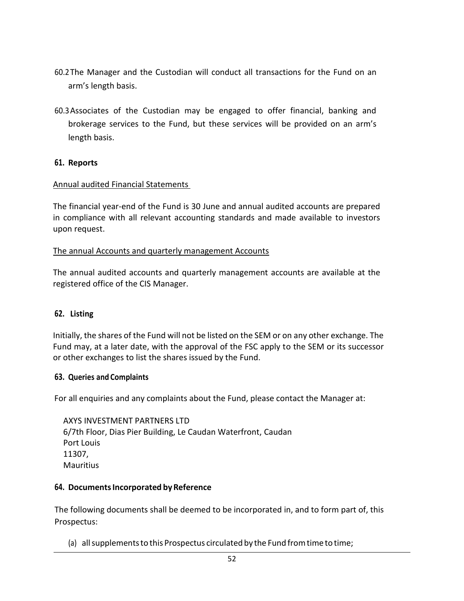- 60.2The Manager and the Custodian will conduct all transactions for the Fund on an arm's length basis.
- 60.3Associates of the Custodian may be engaged to offer financial, banking and brokerage services to the Fund, but these services will be provided on an arm's length basis.

#### <span id="page-51-0"></span>**61. Reports**

#### Annual audited Financial Statements

The financial year-end of the Fund is 30 June and annual audited accounts are prepared in compliance with all relevant accounting standards and made available to investors upon request.

#### The annual Accounts and quarterly management Accounts

The annual audited accounts and quarterly management accounts are available at the registered office of the CIS Manager.

#### <span id="page-51-1"></span>**62. Listing**

Initially, the shares of the Fund will not be listed on the SEM or on any other exchange. The Fund may, at a later date, with the approval of the FSC apply to the SEM or its successor or other exchanges to list the shares issued by the Fund.

#### <span id="page-51-2"></span>**63. Queries and Complaints**

For all enquiries and any complaints about the Fund, please contact the Manager at:

AXYS INVESTMENT PARTNERS LTD 6/7th Floor, Dias Pier Building, Le Caudan Waterfront, Caudan Port Louis 11307, **Mauritius** 

#### **64. DocumentsIncorporated byReference**

The following documents shall be deemed to be incorporated in, and to form part of, this Prospectus:

(a) allsupplementsto this Prospectus circulated by the Fund fromtime to time;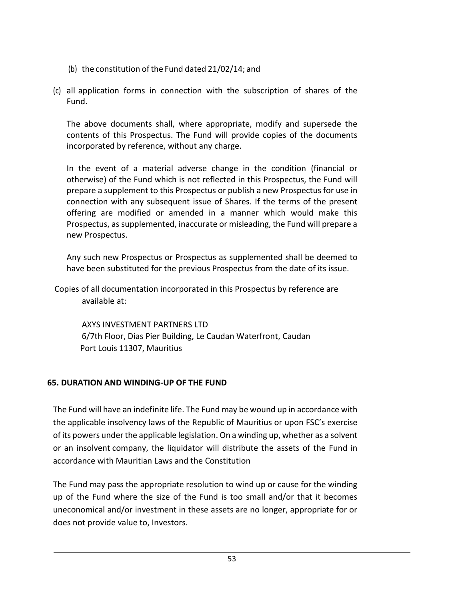- (b) the constitution of the Fund dated  $21/02/14$ ; and
- (c) all application forms in connection with the subscription of shares of the Fund.

The above documents shall, where appropriate, modify and supersede the contents of this Prospectus. The Fund will provide copies of the documents incorporated by reference, without any charge.

In the event of a material adverse change in the condition (financial or otherwise) of the Fund which is not reflected in this Prospectus, the Fund will prepare a supplement to this Prospectus or publish a new Prospectus for use in connection with any subsequent issue of Shares. If the terms of the present offering are modified or amended in a manner which would make this Prospectus, as supplemented, inaccurate or misleading, the Fund will prepare a new Prospectus.

Any such new Prospectus or Prospectus as supplemented shall be deemed to have been substituted for the previous Prospectus from the date of its issue.

Copies of all documentation incorporated in this Prospectus by reference are available at:

AXYS INVESTMENT PARTNERS LTD 6/7th Floor, Dias Pier Building, Le Caudan Waterfront, Caudan Port Louis 11307, Mauritius

### **65. DURATION AND WINDING-UP OF THE FUND**

The Fund will have an indefinite life. The Fund may be wound up in accordance with the applicable insolvency laws of the Republic of Mauritius or upon FSC's exercise of its powers under the applicable legislation. On a winding up, whether as a solvent or an insolvent company, the liquidator will distribute the assets of the Fund in accordance with Mauritian Laws and the Constitution

The Fund may pass the appropriate resolution to wind up or cause for the winding up of the Fund where the size of the Fund is too small and/or that it becomes uneconomical and/or investment in these assets are no longer, appropriate for or does not provide value to, Investors.